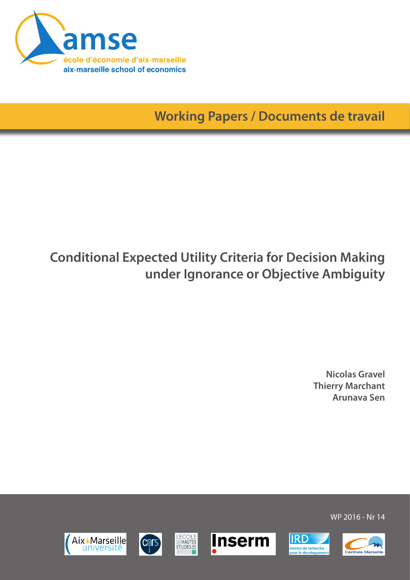

**Working Papers / Documents de travail**

# **Conditional Expected Utility Criteria for Decision Making under Ignorance or Objective Ambiguity**

**Nicolas Gravel Thierry Marchant Arunava Sen**

WP 2016 - Nr 14

**IRD** 

nstitut de recherche<br>vour le développem







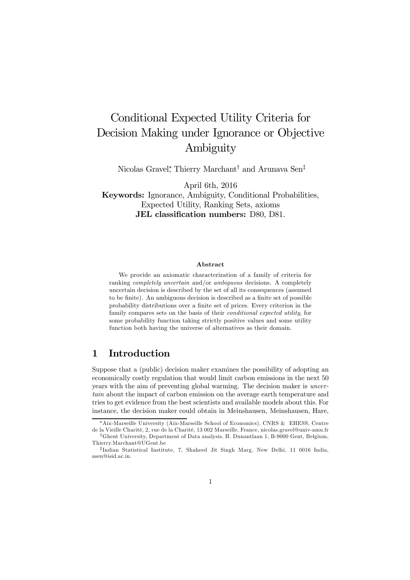## Conditional Expected Utility Criteria for Decision Making under Ignorance or Objective Ambiguity

Nicolas Gravel<sup>\*</sup>, Thierry Marchant<sup>†</sup> and Arunava Sen<sup>‡</sup>

April 6th, 2016 Keywords: Ignorance, Ambiguity, Conditional Probabilities, Expected Utility, Ranking Sets, axioms JEL classification numbers: D80, D81.

#### Abstract

We provide an axiomatic characterization of a family of criteria for ranking completely uncertain and/or ambiguous decisions. A completely uncertain decision is described by the set of all its consequences (assumed to be finite). An ambiguous decision is described as a finite set of possible probability distributions over a finite set of prices. Every criterion in the family compares sets on the basis of their *conditional expected utility*, for some probability function taking strictly positive values and some utility function both having the universe of alternatives as their domain.

## 1 Introduction

Suppose that a (public) decision maker examines the possibility of adopting an economically costly regulation that would limit carbon emissions in the next 50 years with the aim of preventing global warming. The decision maker is uncertain about the impact of carbon emission on the average earth temperature and tries to get evidence from the best scientists and available models about this. For instance, the decision maker could obtain in Meinshausen, Meinshausen, Hare,

<sup>∗</sup>Aix-Marseille University (Aix-Marseille School of Economics), CNRS & EHESS, Centre de la Vieille Charité, 2, rue de la Charité, 13 002 Marseille, France, nicolas.gravel@univ-amu.fr †Ghent University, Department of Data analysis, H. Dunantlaan 1, B-9000 Gent, Belgium, Thierry.Marchant@UGent.be

<sup>‡</sup>Indian Statistical Institute, 7, Shaheed Jit Singh Marg, New Delhi, 11 0016 India, asen@isid.ac.in.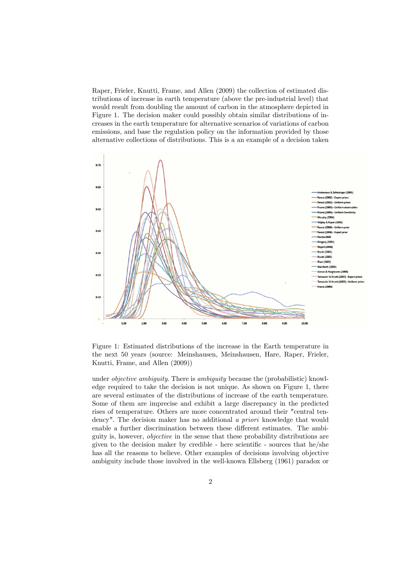Raper, Frieler, Knutti, Frame, and Allen (2009) the collection of estimated distributions of increase in earth temperature (above the pre-industrial level) that would result from doubling the amount of carbon in the atmosphere depicted in Figure 1. The decision maker could possibly obtain similar distributions of increases in the earth temperature for alternative scenarios of variations of carbon emissions, and base the regulation policy on the information provided by those alternative collections of distributions. This is a an example of a decision taken



Figure 1: Estimated distributions of the increase in the Earth temperature in the next 50 years (source: Meinshausen, Meinshausen, Hare, Raper, Frieler, Knutti, Frame, and Allen (2009))

under *objective ambiguity*. There is *ambiguity* because the (probabilistic) knowledge required to take the decision is not unique. As shown on Figure 1, there are several estimates of the distributions of increase of the earth temperature. Some of them are imprecise and exhibit a large discrepancy in the predicted rises of temperature. Others are more concentrated around their "central tendency". The decision maker has no additional a priori knowledge that would enable a further discrimination between these different estimates. The ambiguity is, however, objective in the sense that these probability distributions are given to the decision maker by credible - here scientific - sources that he/she has all the reasons to believe. Other examples of decisions involving objective ambiguity include those involved in the well-known Ellsberg (1961) paradox or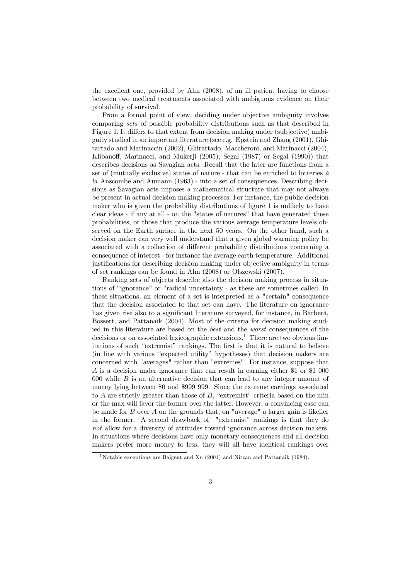the excellent one, provided by Ahn (2008), of an ill patient having to choose between two medical treatments associated with ambiguous evidence on their probability of survival.

From a formal point of view, deciding under objective ambiguity involves comparing sets of possible probability distributions such as that described in Figure 1. It differs to that extent from decision making under (subjective) ambiguity studied in an important literature (see e.g. Epstein and Zhang (2001), Ghirartado and Marinaccin (2002), Ghirartado, Maccheroni, and Marinacci (2004), Klibanoff, Marinacci, and Mukerji (2005), Segal (1987) or Segal (1990)) that describes decisions as Savagian acts. Recall that the later are functions from a set of (mutually exclusive) states of nature - that can be enriched to lotteries  $\dot{a}$ la Anscombe and Aumann (1963) - into a set of consequences. Describing decisions as Savagian acts imposes a mathematical structure that may not always be present in actual decision making processes. For instance, the public decision maker who is given the probability distributions of figure 1 is unlikely to have clear ideas - if any at all - on the "states of natures" that have generated these probabilities, or those that produce the various average temperature levels observed on the Earth surface in the next 50 years. On the other hand, such a decision maker can very well understand that a given global warming policy be associated with a collection of different probability distributions concerning a consequence of interest - for instance the average earth temperature. Additional justifications for describing decision making under objective ambiguity in terms of set rankings can be found in Ahn (2008) or Olszewski (2007).

Ranking sets of objects describe also the decision making process in situations of "ignorance" or "radical uncertainty - as these are sometimes called. In these situations, an element of a set is interpreted as a "certain" consequence that the decision associated to that set can have. The literature on ignorance has given rise also to a significant literature surveyed, for instance, in Barberà, Bossert, and Pattanaik (2004). Most of the criteria for decision making studied in this literature are based on the best and the worst consequences of the  $\alpha$  decisions or on associated lexicographic extensions.<sup>1</sup> There are two obvious limitations of such "extremist" rankings. The first is that it is natural to believe (in line with various "expected utility" hypotheses) that decision makers are concerned with "averages" rather than "extremes". For instance, suppose that A is a decision under ignorance that can result in earning either \$1 or \$1 000 000 while  $B$  is an alternative decision that can lead to any integer amount of money lying between \$0 and \$999 999. Since the extreme earnings associated to  $A$  are strictly greater than those of  $B$ , "extremist" criteria based on the min or the max will favor the former over the latter. However, a convincing case can be made for  $B$  over  $A$  on the grounds that, on "average" a larger gain is likelier in the former. A second drawback of "extremist" rankings is that they do not allow for a diversity of attitudes toward ignorance across decision makers. In situations where decisions have only monetary consequences and all decision makers prefer more money to less, they will all have identical rankings over

<sup>&</sup>lt;sup>1</sup>Notable exceptions are Baigent and Xu  $(2004)$  and Nitzan and Pattanaik  $(1984)$ .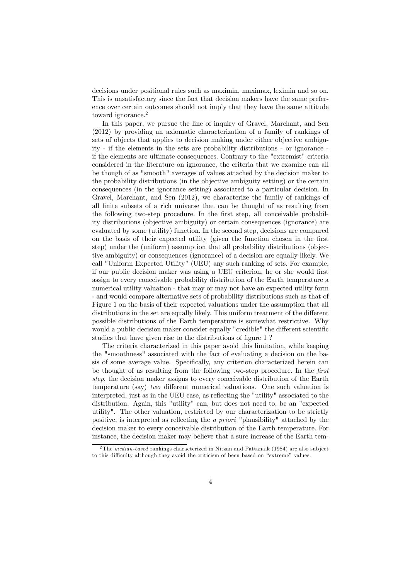decisions under positional rules such as maximin, maximax, leximin and so on. This is unsatisfactory since the fact that decision makers have the same preference over certain outcomes should not imply that they have the same attitude toward ignorance.<sup>2</sup>

In this paper, we pursue the line of inquiry of Gravel, Marchant, and Sen (2012) by providing an axiomatic characterization of a family of rankings of sets of objects that applies to decision making under either objective ambiguity - if the elements in the sets are probability distributions - or ignorance if the elements are ultimate consequences. Contrary to the "extremist" criteria considered in the literature on ignorance, the criteria that we examine can all be though of as "smooth" averages of values attached by the decision maker to the probability distributions (in the objective ambiguity setting) or the certain consequences (in the ignorance setting) associated to a particular decision. In Gravel, Marchant, and Sen (2012), we characterize the family of rankings of all finite subsets of a rich universe that can be thought of as resulting from the following two-step procedure. In the first step, all conceivable probability distributions (objective ambiguity) or certain consequences (ignorance) are evaluated by some (utility) function. In the second step, decisions are compared on the basis of their expected utility (given the function chosen in the first step) under the (uniform) assumption that all probability distributions (objective ambiguity) or consequences (ignorance) of a decision are equally likely. We call "Uniform Expected Utility" (UEU) any such ranking of sets. For example, if our public decision maker was using a UEU criterion, he or she would first assign to every conceivable probability distribution of the Earth temperature a numerical utility valuation - that may or may not have an expected utility form - and would compare alternative sets of probability distributions such as that of Figure 1 on the basis of their expected valuations under the assumption that all distributions in the set are equally likely. This uniform treatment of the different possible distributions of the Earth temperature is somewhat restrictive. Why would a public decision maker consider equally "credible" the different scientific studies that have given rise to the distributions of figure 1 ?

The criteria characterized in this paper avoid this limitation, while keeping the "smoothness" associated with the fact of evaluating a decision on the basis of some average value. Specifically, any criterion characterized herein can be thought of as resulting from the following two-step procedure. In the first step, the decision maker assigns to every conceivable distribution of the Earth temperature (say) two different numerical valuations. One such valuation is interpreted, just as in the UEU case, as reflecting the "utility" associated to the distribution. Again, this "utility" can, but does not need to, be an "expected utility". The other valuation, restricted by our characterization to be strictly positive, is interpreted as reflecting the a priori "plausibility" attached by the decision maker to every conceivable distribution of the Earth temperature. For instance, the decision maker may believe that a sure increase of the Earth tem-

<sup>&</sup>lt;sup>2</sup>The *median-based* rankings characterized in Nitzan and Pattanaik (1984) are also subject to this difficulty although they avoid the criticism of been based on "extreme" values.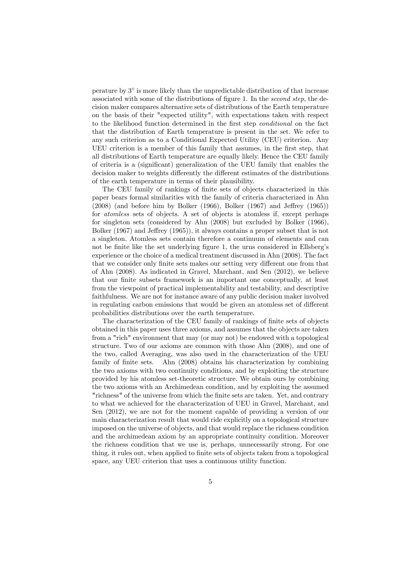perature by 3◦ is more likely than the unpredictable distribution of that increase associated with some of the distributions of figure 1. In the second step, the decision maker compares alternative sets of distributions of the Earth temperature on the basis of their "expected utility", with expectations taken with respect to the likelihood function determined in the first step conditional on the fact that the distribution of Earth temperature is present in the set. We refer to any such criterion as to a Conditional Expected Utility (CEU) criterion. Any UEU criterion is a member of this family that assumes, in the first step, that all distributions of Earth temperature are equally likely. Hence the CEU family of criteria is a (significant) generalization of the UEU family that enables the decision maker to weights differently the different estimates of the distributions of the earth temperature in terms of their plausibility.

The CEU family of rankings of finite sets of objects characterized in this paper bears formal similarities with the family of criteria characterized in Ahn (2008) (and before him by Bolker (1966), Bolker (1967) and Jeffrey (1965)) for atomless sets of objects. A set of objects is atomless if, except perhaps for singleton sets (considered by Ahn (2008) but excluded by Bolker (1966), Bolker (1967) and Jeffrey (1965)), it always contains a proper subset that is not a singleton. Atomless sets contain therefore a continuum of elements and can not be finite like the set underlying figure 1, the urns considered in Ellsberg's experience or the choice of a medical treatment discussed in Ahn (2008). The fact that we consider only finite sets makes our setting very different one from that of Ahn (2008). As indicated in Gravel, Marchant, and Sen (2012), we believe that our finite subsets framework is an important one conceptually, at least from the viewpoint of practical implementability and testability, and descriptive faithfulness. We are not for instance aware of any public decision maker involved in regulating carbon emissions that would be given an atomless set of different probabilities distributions over the earth temperature.

The characterization of the CEU family of rankings of finite sets of objects obtained in this paper uses three axioms, and assumes that the objects are taken from a "rich" environment that may (or may not) be endowed with a topological structure. Two of our axioms are common with those Ahn (2008), and one of the two, called Averaging, was also used in the characterization of the UEU family of finite sets. Ahn (2008) obtains his characterization by combining the two axioms with two continuity conditions, and by exploiting the structure provided by his atomless set-theoretic structure. We obtain ours by combining the two axioms with an Archimedean condition, and by exploiting the assumed "richness" of the universe from which the finite sets are taken. Yet, and contrary to what we achieved for the characterization of UEU in Gravel, Marchant, and Sen (2012), we are not for the moment capable of providing a version of our main characterization result that would ride explicitly on a topological structure imposed on the universe of objects, and that would replace the richness condition and the archimedean axiom by an appropriate continuity condition. Moreover the richness condition that we use is, perhaps, unnecessarily strong. For one thing, it rules out, when applied to finite sets of objects taken from a topological space, any UEU criterion that uses a continuous utility function.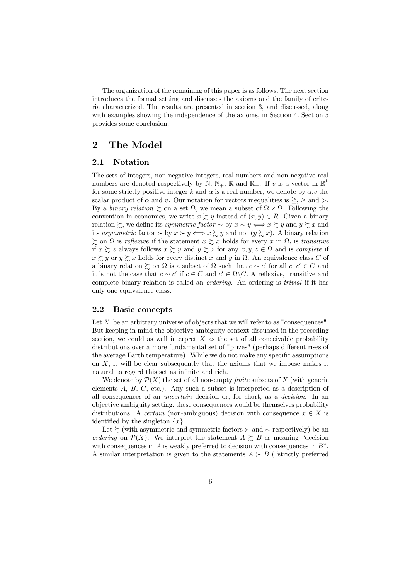The organization of the remaining of this paper is as follows. The next section introduces the formal setting and discusses the axioms and the family of criteria characterized. The results are presented in section 3, and discussed, along with examples showing the independence of the axioms, in Section 4. Section 5 provides some conclusion.

## 2 The Model

#### 2.1 Notation

The sets of integers, non-negative integers, real numbers and non-negative real numbers are denoted respectively by N, N<sub>+</sub>, R and R<sub>+</sub>. If v is a vector in R<sup>k</sup> for some strictly positive integer  $k$  and  $\alpha$  is a real number, we denote by  $\alpha.v$  the scalar product of  $\alpha$  and v. Our notation for vectors inequalities is  $\geq$ ,  $\geq$  and  $>$ . By a *binary relation*  $\succeq$  on a set  $\Omega$ , we mean a subset of  $\Omega \times \Omega$ . Following the convention in economics, we write  $x \succeq y$  instead of  $(x, y) \in R$ . Given a binary relation  $\succsim$ , we define its *symmetric factor* ∼ by  $x \sim y \iff x \succsim y$  and  $y \succsim x$  and its asymmetric factor  $\succ$  by  $x \succ y \Longleftrightarrow x \succ y$  and not  $(y \succ z x)$ . A binary relation  $\sum_{n=1}^{\infty}$  on  $\Omega$  is reflexive if the statement  $x \sum_{n=1}^{\infty} x$  holds for every  $x$  in  $\Omega$ , is transitive if  $x \succeq z$  always follows  $x \succeq y$  and  $y \succeq z$  for any  $x, y, z \in \Omega$  and is *complete* if  $x \succeq y$  or  $y \succeq x$  holds for every distinct  $x$  and  $y$  in  $\Omega$ . An equivalence class  $C$  of a binary relation  $\succsim$  on  $\Omega$  is a subset of  $\Omega$  such that  $c \sim c'$  for all  $c, c' \in C$  and it is not the case that  $c \sim c'$  if  $c \in C$  and  $c' \in \Omega \backslash C$ . A reflexive, transitive and complete binary relation is called an ordering. An ordering is trivial if it has only one equivalence class.

#### 2.2 Basic concepts

Let  $X$  be an arbitrary universe of objects that we will refer to as "consequences". But keeping in mind the objective ambiguity context discussed in the preceding section, we could as well interpret  $X$  as the set of all conceivable probability distributions over a more fundamental set of "prizes" (perhaps different rises of the average Earth temperature). While we do not make any specific assumptions on  $X$ , it will be clear subsequently that the axioms that we impose makes it natural to regard this set as infinite and rich.

We denote by  $\mathcal{P}(X)$  the set of all non-empty *finite* subsets of X (with generic elements  $A, B, C$ , etc.). Any such a subset is interpreted as a description of all consequences of an uncertain decision or, for short, as a decision. In an objective ambiguity setting, these consequences would be themselves probability distributions. A *certain* (non-ambiguous) decision with consequence  $x \in X$  is identified by the singleton  $\{x\}.$ 

Let  $\succeq$  (with asymmetric and symmetric factors ≻ and ∼ respectively) be an ordering on  $\mathcal{P}(X)$ . We interpret the statement  $A \succeq B$  as meaning "decision with consequences in  $A$  is weakly preferred to decision with consequences in  $B$ ". A similar interpretation is given to the statements  $A \succ B$  ("strictly preferred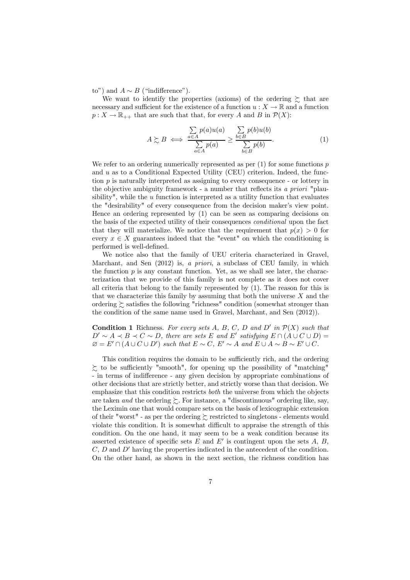to") and  $A \sim B$  ("indifference").

We want to identify the properties (axioms) of the ordering  $\succsim$  that are necessary and sufficient for the existence of a function  $u : X \to \mathbb{R}$  and a function  $p: X \to \mathbb{R}_{++}$  that are such that that, for every A and B in  $\mathcal{P}(X)$ :

$$
A \succsim B \iff \frac{\sum_{a \in A} p(a)u(a)}{\sum_{a \in A} p(a)} \ge \frac{\sum_{b \in B} p(b)u(b)}{\sum_{b \in B} p(b)}.
$$
 (1)

We refer to an ordering numerically represented as per  $(1)$  for some functions p and  $u$  as to a Conditional Expected Utility (CEU) criterion. Indeed, the function  $p$  is naturally interpreted as assigning to every consequence - or lottery in the objective ambiguity framework - a number that reflects its a priori "plausibility", while the  $u$  function is interpreted as a utility function that evaluates the "desirability" of every consequence from the decision maker's view point. Hence an ordering represented by (1) can be seen as comparing decisions on the basis of the expected utility of their consequences conditional upon the fact that they will materialize. We notice that the requirement that  $p(x) > 0$  for every  $x \in X$  guarantees indeed that the "event" on which the conditioning is performed is well-defined.

We notice also that the family of UEU criteria characterized in Gravel, Marchant, and Sen (2012) is, a priori, a subclass of CEU family, in which the function  $p$  is any constant function. Yet, as we shall see later, the characterization that we provide of this family is not complete as it does not cover all criteria that belong to the family represented by (1). The reason for this is that we characterize this family by assuming that both the universe  $X$  and the ordering  $\geq$  satisfies the following "richness" condition (somewhat stronger than the condition of the same name used in Gravel, Marchant, and Sen (2012)).

**Condition 1** Richness. For every sets A, B, C, D and D' in  $\mathcal{P}(X)$  such that  $D' \sim A \prec B \prec C \sim D$ , there are sets E and E' satisfying  $E \cap (A \cup C \cup D)$  $\varnothing = E' \cap (A \cup C \cup D')$  such that  $E \sim C$ ,  $E' \sim A$  and  $E \cup A \sim B \sim E' \cup C$ .

This condition requires the domain to be sufficiently rich, and the ordering  $\zeta$  to be sufficiently "smooth", for opening up the possibility of "matching" - in terms of indifference - any given decision by appropriate combinations of other decisions that are strictly better, and strictly worse than that decision. We emphasize that this condition restricts both the universe from which the objects are taken and the ordering  $\succeq$ . For instance, a "discontinuous" ordering like, say, the Leximin one that would compare sets on the basis of lexicographic extension of their "worst" - as per the ordering  $\sum$  restricted to singletons - elements would violate this condition. It is somewhat difficult to appraise the strength of this condition. On the one hand, it may seem to be a weak condition because its asserted existence of specific sets  $E$  and  $E'$  is contingent upon the sets  $A, B$ ,  $C, D$  and  $D'$  having the properties indicated in the antecedent of the condition. On the other hand, as shown in the next section, the richness condition has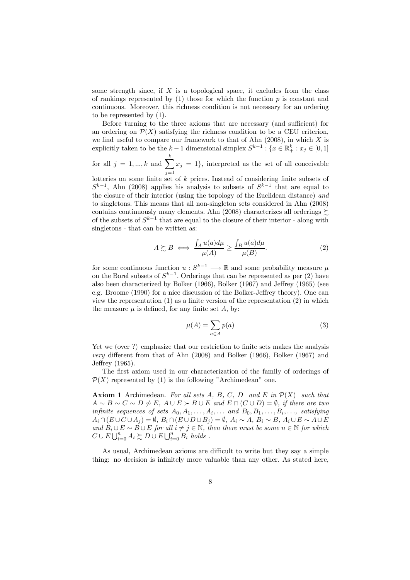some strength since, if  $X$  is a topological space, it excludes from the class of rankings represented by  $(1)$  those for which the function  $p$  is constant and continuous. Moreover, this richness condition is not necessary for an ordering to be represented by (1).

Before turning to the three axioms that are necessary (and sufficient) for an ordering on  $\mathcal{P}(X)$  satisfying the richness condition to be a CEU criterion, we find useful to compare our framework to that of Ahn  $(2008)$ , in which X is explicitly taken to be the  $k-1$  dimensional simplex  $S^{k-1}$  :  $\{x \in \mathbb{R}_+^k : x_j \in [0,1]\}$ 

for all  $j = 1, ..., k$  and  $\sum_{i=1}^{k}$  $\sum_{j=1}^{n} x_j = 1$ , interpreted as the set of all conceivable

lotteries on some finite set of  $k$  prices. Instead of considering finite subsets of  $S^{k-1}$ , Ahn (2008) applies his analysis to subsets of  $S^{k-1}$  that are equal to the closure of their interior (using the topology of the Euclidean distance) and to singletons. This means that all non-singleton sets considered in Ahn (2008) contains continuously many elements. Ahn (2008) characterizes all orderings  $\succsim$ of the subsets of  $S^{k-1}$  that are equal to the closure of their interior - along with singletons - that can be written as:

$$
A \succsim B \iff \frac{\int_A u(a)d\mu}{\mu(A)} \ge \frac{\int_B u(a)d\mu}{\mu(B)}.
$$
 (2)

for some continuous function  $u : S^{k-1} \longrightarrow \mathbb{R}$  and some probability measure  $\mu$ on the Borel subsets of  $S^{k-1}$ . Orderings that can be represented as per (2) have also been characterized by Bolker (1966), Bolker (1967) and Jeffrey (1965) (see e.g. Broome (1990) for a nice discussion of the Bolker-Jeffrey theory). One can view the representation (1) as a finite version of the representation (2) in which the measure  $\mu$  is defined, for any finite set A, by:

$$
\mu(A) = \sum_{a \in A} p(a) \tag{3}
$$

Yet we (over ?) emphasize that our restriction to finite sets makes the analysis very different from that of Ahn (2008) and Bolker (1966), Bolker (1967) and Jeffrey (1965).

The first axiom used in our characterization of the family of orderings of  $\mathcal{P}(X)$  represented by (1) is the following "Archimedean" one.

**Axiom 1** Archimedean. For all sets A, B, C, D and E in  $\mathcal{P}(X)$  such that  $A \sim B \sim C \sim D \not\sim E$ ,  $A \cup E \succ B \cup E$  and  $E \cap (C \cup D) = \emptyset$ , if there are two infinite sequences of sets  $A_0, A_1, \ldots, A_i, \ldots$  and  $B_0, B_1, \ldots, B_i, \ldots$ , satisfying  $A_i \cap (E \cup C \cup A_j) = \emptyset$ ,  $B_i \cap (E \cup D \cup B_j) = \emptyset$ ,  $A_i \sim A$ ,  $B_i \sim B$ ,  $A_i \cup E \sim A \cup E$ and  $B_i \cup E \sim B \cup E$  for all  $i \neq j \in \mathbb{N}$ , then there must be some  $n \in \mathbb{N}$  for which  $C \cup E \bigcup_{i=0}^{n} A_i \succsim D \cup E \bigcup_{i=0}^{n} B_i$  holds.

As usual, Archimedean axioms are difficult to write but they say a simple thing: no decision is infinitely more valuable than any other. As stated here,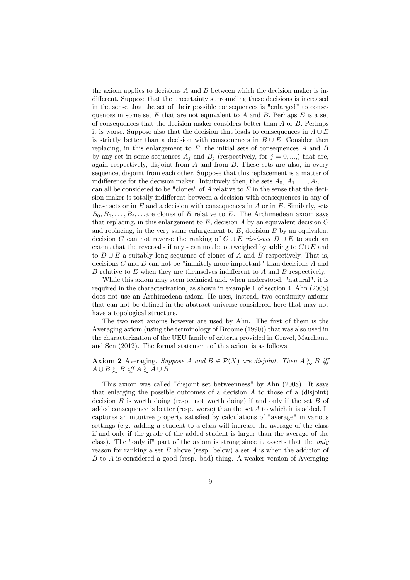the axiom applies to decisions  $A$  and  $B$  between which the decision maker is indifferent. Suppose that the uncertainty surrounding these decisions is increased in the sense that the set of their possible consequences is "enlarged" to consequences in some set  $E$  that are not equivalent to  $A$  and  $B$ . Perhaps  $E$  is a set of consequences that the decision maker considers better than  $A$  or  $B$ . Perhaps it is worse. Suppose also that the decision that leads to consequences in  $A \cup E$ is strictly better than a decision with consequences in  $B \cup E$ . Consider then replacing, in this enlargement to  $E$ , the initial sets of consequences  $A$  and  $B$ by any set in some sequences  $A_i$  and  $B_i$  (respectively, for  $j = 0, \ldots$ ) that are, again respectively, disjoint from  $A$  and from  $B$ . These sets are also, in every sequence, disjoint from each other. Suppose that this replacement is a matter of indifference for the decision maker. Intuitively then, the sets  $A_0, A_1, \ldots, A_i, \ldots$ can all be considered to be "clones" of  $A$  relative to  $E$  in the sense that the decision maker is totally indifferent between a decision with consequences in any of these sets or in  $E$  and a decision with consequences in  $A$  or in  $E$ . Similarly, sets  $B_0, B_1, \ldots, B_i, \ldots$  are clones of B relative to E. The Archimedean axiom says that replacing, in this enlargement to  $E$ , decision  $A$  by an equivalent decision  $C$ and replacing, in the very same enlargement to  $E$ , decision  $B$  by an equivalent decision C can not reverse the ranking of  $C \cup E$  vis-à-vis  $D \cup E$  to such an extent that the reversal - if any - can not be outweighed by adding to  $C \cup E$  and to  $D \cup E$  a suitably long sequence of clones of A and B respectively. That is, decisions  $C$  and  $D$  can not be "infinitely more important" than decisions  $A$  and  $B$  relative to  $E$  when they are themselves indifferent to  $A$  and  $B$  respectively.

While this axiom may seem technical and, when understood, "natural", it is required in the characterization, as shown in example 1 of section 4. Ahn (2008) does not use an Archimedean axiom. He uses, instead, two continuity axioms that can not be defined in the abstract universe considered here that may not have a topological structure.

The two next axioms however are used by Ahn. The first of them is the Averaging axiom (using the terminology of Broome (1990)) that was also used in the characterization of the UEU family of criteria provided in Gravel, Marchant, and Sen (2012). The formal statement of this axiom is as follows.

#### **Axiom 2** Averaging. Suppose A and  $B \in \mathcal{P}(X)$  are disjoint. Then  $A \succeq B$  iff  $A \cup B \succsim B$  iff  $A \succsim A \cup B$ .

This axiom was called "disjoint set betweenness" by Ahn (2008). It says that enlarging the possible outcomes of a decision  $A$  to those of a (disjoint) decision  $B$  is worth doing (resp. not worth doing) if and only if the set  $B$  of added consequence is better (resp. worse) than the set  $A$  to which it is added. It captures an intuitive property satisfied by calculations of "average" in various settings (e.g. adding a student to a class will increase the average of the class if and only if the grade of the added student is larger than the average of the class). The "only if" part of the axiom is strong since it asserts that the only reason for ranking a set  $B$  above (resp. below) a set  $A$  is when the addition of B to  $\tilde{A}$  is considered a good (resp. bad) thing. A weaker version of Averaging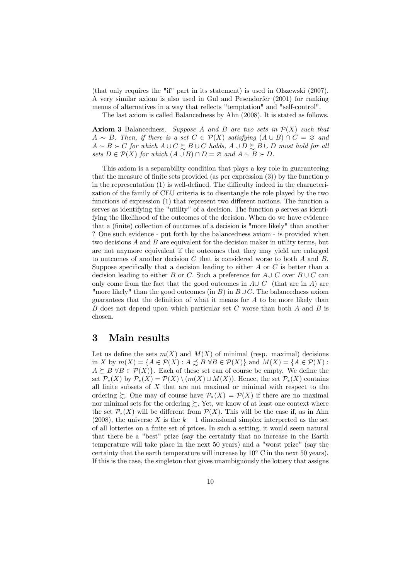(that only requires the "if" part in its statement) is used in Olszewski (2007). A very similar axiom is also used in Gul and Pesendorfer (2001) for ranking menus of alternatives in a way that reflects "temptation" and "self-control".

The last axiom is called Balancedness by Ahn (2008). It is stated as follows.

**Axiom 3** Balancedness. Suppose A and B are two sets in  $\mathcal{P}(X)$  such that  $A \sim B$ . Then, if there is a set  $C \in \mathcal{P}(X)$  satisfying  $(A \cup B) \cap C = \emptyset$  and  $A \sim B \succ C$  for which  $A \cup C \succsim B \cup C$  holds,  $A \cup D \succsim B \cup D$  must hold for all sets  $D \in \mathcal{P}(X)$  for which  $(A \cup B) \cap D = \emptyset$  and  $A \sim B \succ D$ .

This axiom is a separability condition that plays a key role in guaranteeing that the measure of finite sets provided (as per expression  $(3)$ ) by the function p in the representation (1) is well-defined. The difficulty indeed in the characterization of the family of CEU criteria is to disentangle the role played by the two functions of expression  $(1)$  that represent two different notions. The function u serves as identifying the "utility" of a decision. The function  $p$  serves as identifying the likelihood of the outcomes of the decision. When do we have evidence that a (finite) collection of outcomes of a decision is "more likely" than another ? One such evidence - put forth by the balancedness axiom - is provided when two decisions  $A$  and  $B$  are equivalent for the decision maker in utility terms, but are not anymore equivalent if the outcomes that they may yield are enlarged to outcomes of another decision  $C$  that is considered worse to both  $A$  and  $B$ . Suppose specifically that a decision leading to either  $A$  or  $C$  is better than a decision leading to either B or C. Such a preference for  $A \cup C$  over  $B \cup C$  can only come from the fact that the good outcomes in  $A \cup C$  (that are in A) are "more likely" than the good outcomes (in B) in  $B\cup C$ . The balancedness axiom guarantees that the definition of what it means for  $A$  to be more likely than  $B$  does not depend upon which particular set  $C$  worse than both  $A$  and  $B$  is chosen.

## 3 Main results

Let us define the sets  $m(X)$  and  $M(X)$  of minimal (resp. maximal) decisions in X by  $m(X) = { A \in \mathcal{P}(X) : A \preceq B \forall B \in \mathcal{P}(X) }$  and  $M(X) = { A \in \mathcal{P}(X) }$ :  $A \succeq B \forall B \in \mathcal{P}(X)$ . Each of these set can of course be empty. We define the set  $\mathcal{P}_*(X)$  by  $\mathcal{P}_*(X) = \mathcal{P}(X) \setminus (m(X) \cup M(X))$ . Hence, the set  $\mathcal{P}_*(X)$  contains all finite subsets of  $X$  that are not maximal or minimal with respect to the ordering  $\sum$ . One may of course have  $\mathcal{P}_*(X) = \mathcal{P}(X)$  if there are no maximal nor minimal sets for the ordering  $\succeq$ . Yet, we know of at least one context where the set  $\mathcal{P}_*(X)$  will be different from  $\mathcal{P}(X)$ . This will be the case if, as in Ahn (2008), the universe X is the  $k-1$  dimensional simplex interpreted as the set of all lotteries on a finite set of prices. In such a setting, it would seem natural that there be a "best" prize (say the certainty that no increase in the Earth temperature will take place in the next 50 years) and a "worst prize" (say the certainty that the earth temperature will increase by  $10°$  C in the next 50 years). If this is the case, the singleton that gives unambiguously the lottery that assigns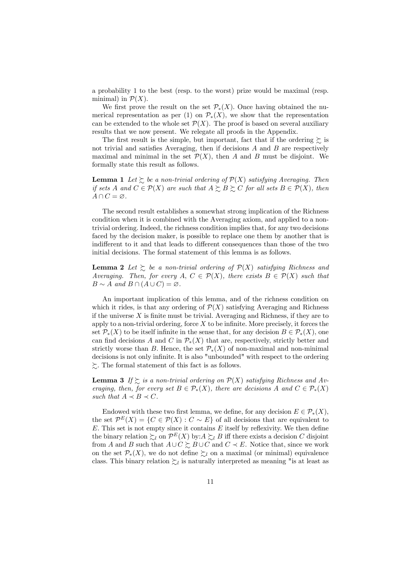a probability 1 to the best (resp. to the worst) prize would be maximal (resp. minimal) in  $\mathcal{P}(X)$ .

We first prove the result on the set  $\mathcal{P}_*(X)$ . Once having obtained the numerical representation as per (1) on  $\mathcal{P}_*(X)$ , we show that the representation can be extended to the whole set  $\mathcal{P}(X)$ . The proof is based on several auxiliary results that we now present. We relegate all proofs in the Appendix.

The first result is the simple, but important, fact that if the ordering  $\succeq$  is not trivial and satisfies Averaging, then if decisions  $A$  and  $B$  are respectively maximal and minimal in the set  $\mathcal{P}(X)$ , then A and B must be disjoint. We formally state this result as follows.

**Lemma 1** Let  $\succeq$  be a non-trivial ordering of  $\mathcal{P}(X)$  satisfying Averaging. Then if sets A and  $C \in \mathcal{P}(X)$  are such that  $A \succeq B \succeq C$  for all sets  $B \in \mathcal{P}(X)$ , then  $A \cap C = \varnothing$ .

The second result establishes a somewhat strong implication of the Richness condition when it is combined with the Averaging axiom, and applied to a nontrivial ordering. Indeed, the richness condition implies that, for any two decisions faced by the decision maker, is possible to replace one them by another that is indifferent to it and that leads to different consequences than those of the two initial decisions. The formal statement of this lemma is as follows.

**Lemma 2** Let  $\succeq$  be a non-trivial ordering of  $\mathcal{P}(X)$  satisfying Richness and Averaging. Then, for every A,  $C \in \mathcal{P}(X)$ , there exists  $B \in \mathcal{P}(X)$  such that  $B \sim A$  and  $B \cap (A \cup C) = \emptyset$ .

An important implication of this lemma, and of the richness condition on which it rides, is that any ordering of  $\mathcal{P}(X)$  satisfying Averaging and Richness if the universe  $X$  is finite must be trivial. Averaging and Richness, if they are to apply to a non-trivial ordering, force  $X$  to be infinite. More precisely, it forces the set  $\mathcal{P}_*(X)$  to be itself infinite in the sense that, for any decision  $B \in \mathcal{P}_*(X)$ , one can find decisions A and C in  $\mathcal{P}_*(X)$  that are, respectively, strictly better and strictly worse than B. Hence, the set  $\mathcal{P}_*(X)$  of non-maximal and non-minimal decisions is not only infinite. It is also "unbounded" with respect to the ordering  $\sum$ . The formal statement of this fact is as follows.

**Lemma 3** If  $\geq$  is a non-trivial ordering on  $\mathcal{P}(X)$  satisfying Richness and Averaging, then, for every set  $B \in \mathcal{P}_*(X)$ , there are decisions A and  $C \in \mathcal{P}_*(X)$ such that  $A \prec B \prec C$ .

Endowed with these two first lemma, we define, for any decision  $E \in \mathcal{P}_*(X)$ , the set  $\mathcal{P}^E(X) = \{ C \in \mathcal{P}(X) : C \sim E \}$  of all decisions that are equivalent to  $E$ . This set is not empty since it contains  $E$  itself by reflexivity. We then define the binary relation  $\sum_l$  on  $\mathcal{P}^E(X)$  by:  $A \sum_l B$  iff there exists a decision C disjoint from A and B such that  $A\cup C\succeq B\cup C$  and  $C\prec E$ . Notice that, since we work on the set  $\mathcal{P}_*(X)$ , we do not define  $\succsim_l$  on a maximal (or minimal) equivalence class. This binary relation  $\succsim_l$  is naturally interpreted as meaning "is at least as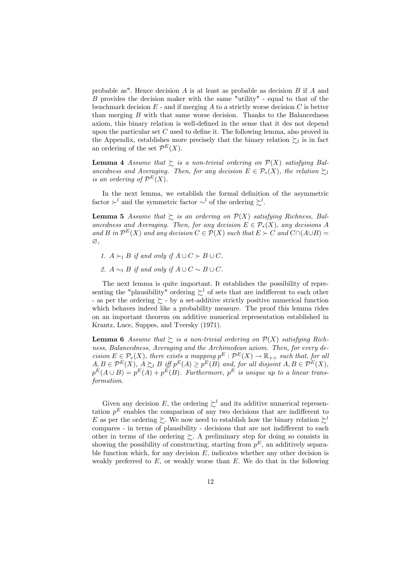probable as". Hence decision  $A$  is at least as probable as decision  $B$  if  $A$  and  $B$  provides the decision maker with the same "utility" - equal to that of the benchmark decision  $E$  - and if merging  $A$  to a strictly worse decision  $C$  is better than merging  $B$  with that same worse decision. Thanks to the Balancedness axiom, this binary relation is well-defined in the sense that it des not depend upon the particular set  $C$  used to define it. The following lemma, also proved in the Appendix, establishes more precisely that the binary relation  $\sum_l$  is in fact an ordering of the set  $\mathcal{P}^E(X)$ .

**Lemma 4** Assume that  $\succsim$  is a non-trivial ordering on  $\mathcal{P}(X)$  satisfying Balancedness and Averaging. Then, for any decision  $E \in \mathcal{P}_*(X)$ , the relation  $\succcurlyeq$ is an ordering of  $\mathcal{P}^E(X)$ .

In the next lemma, we establish the formal definition of the asymmetric factor ≻<sup>*l*</sup> and the symmetric factor  $\sim$ <sup>*l*</sup> of the ordering  $\succeq$ <sup>*l*</sup>.

**Lemma 5** Assume that  $\succsim$  is an ordering on  $\mathcal{P}(X)$  satisfying Richness, Balancedness and Averaging. Then, for any decision  $E \in \mathcal{P}_*(X)$ , any decisions A and B in  $\mathcal{P}^{E}(X)$  and any decision  $C \in \mathcal{P}(X)$  such that  $E \succ C$  and  $C \cap (A \cup B) =$  $\varnothing$ .

- 1.  $A \succ_l B$  if and only if  $A \cup C \succ B \cup C$ .
- 2.  $A \sim_{I} B$  if and only if  $A \cup C \sim B \cup C$ .

The next lemma is quite important. It establishes the possibility of representing the "plausibility" ordering  $\sum^l$  of sets that are indifferent to each other - as per the ordering  $\succeq$  - by a set-additive strictly positive numerical function which behaves indeed like a probability measure. The proof this lemma rides on an important theorem on additive numerical representation established in Krantz, Luce, Suppes, and Tversky (1971).

**Lemma 6** Assume that  $\succsim$  is a non-trivial ordering on  $\mathcal{P}(X)$  satisfying Richness, Balancedness, Averaging and the Archimedean axiom. Then, for every decision  $E \in \mathcal{P}_*(X)$ , there exists a mapping  $p^E : \mathcal{P}^E(X) \to \mathbb{R}_{++}$  such that, for all  $A, B \in \mathcal{P}^E(X), A \succsim u B$  iff  $p^E(A) \geq p^E(B)$  and, for all disjoint  $A, B \in \mathcal{P}^E(X),$  $p^E(A \cup B) = p^E(A) + p^E(B)$ . Furthermore,  $p^E$  is unique up to a linear transformation.

Given any decision E, the ordering  $\sum^{l}$  and its additive numerical representation  $p<sup>E</sup>$  enables the comparison of any two decisions that are indifferent to E as per the ordering  $\succsim$ . We now need to establish how the binary relation  $\succsim$ <sup>1</sup> compares - in terms of plausibility - decisions that are not indifferent to each other in terms of the ordering  $\sum$ . A preliminary step for doing so consists in showing the possibility of constructing, starting from  $p^E$ , an additively separable function which, for any decision  $E$ , indicates whether any other decision is weakly preferred to  $E$ , or weakly worse than  $E$ . We do that in the following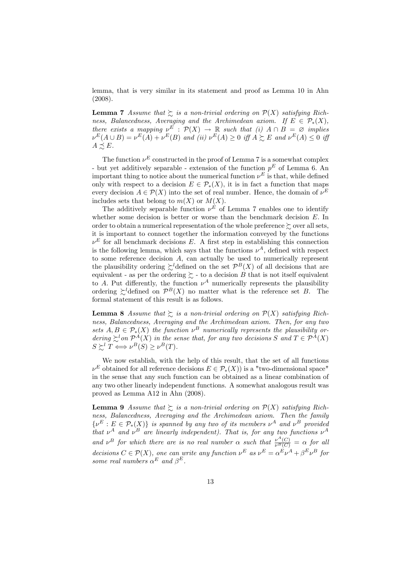lemma, that is very similar in its statement and proof as Lemma 10 in Ahn (2008).

**Lemma 7** Assume that  $\succsim$  is a non-trivial ordering on  $\mathcal{P}(X)$  satisfying Richness, Balancedness, Averaging and the Archimedean axiom. If  $E \in \mathcal{P}_*(X)$ , there exists a mapping  $\nu^E : \mathcal{P}(X) \to \mathbb{R}$  such that (i)  $A \cap B = \emptyset$  implies  $(\nu^E(A \cup B) = \nu^E(A) + \nu^E(B)$  and (ii)  $\nu^E(A) \geq 0$  iff  $A \succsim E$  and  $\nu^E(A) \leq 0$  iff  $A \preceq E$ .

The function  $\nu^E$  constructed in the proof of Lemma 7 is a somewhat complex - but yet additively separable - extension of the function  $p<sup>E</sup>$  of Lemma 6. An important thing to notice about the numerical function  $\nu^E$  is that, while defined only with respect to a decision  $E \in \mathcal{P}_*(X)$ , it is in fact a function that maps every decision  $A \in \mathcal{P}(X)$  into the set of real number. Hence, the domain of  $\nu^E$ includes sets that belong to  $m(X)$  or  $M(X)$ .

The additively separable function  $\nu^{\hat{E}}$  of Lemma 7 enables one to identify whether some decision is better or worse than the benchmark decision  $E$ . In order to obtain a numerical representation of the whole preference  $\succeq$  over all sets, it is important to connect together the information conveyed by the functions  $\nu^E$  for all benchmark decisions E. A first step in establishing this connection is the following lemma, which says that the functions  $\nu^A$ , defined with respect to some reference decision  $A$ , can actually be used to numerically represent the plausibility ordering  $\sum$ <sup>l</sup>defined on the set  $\mathcal{P}^B(X)$  of all decisions that are equivalent - as per the ordering  $\succsim$  - to a decision B that is not itself equivalent to A. Put differently, the function  $\nu^A$  numerically represents the plausibility ordering  $\mathcal{L}^l$  defined on  $\mathcal{P}^B(X)$  no matter what is the reference set B. The formal statement of this result is as follows.

**Lemma 8** Assume that  $\succsim$  is a non-trivial ordering on  $\mathcal{P}(X)$  satisfying Richness, Balancedness, Averaging and the Archimedean axiom. Then, for any two sets  $A, B \in \mathcal{P}_*(X)$  the function  $\nu^B$  numerically represents the plausibility ordering  $\sum^{\infty}$  on  $\mathcal{P}^{A}(X)$  in the sense that, for any two decisions S and  $T \in \mathcal{P}^{A}(X)$  $S \succeq^l T \Longleftrightarrow \nu^B(S) \geq \nu^B(T).$ 

We now establish, with the help of this result, that the set of all functions  $\nu^E$  obtained for all reference decisions  $E \in \mathcal{P}_*(X)$  is a "two-dimensional space" in the sense that any such function can be obtained as a linear combination of any two other linearly independent functions. A somewhat analogous result was proved as Lemma A12 in Ahn (2008).

**Lemma 9** Assume that  $\succsim$  is a non-trivial ordering on  $\mathcal{P}(X)$  satisfying Richness, Balancedness, Averaging and the Archimedean axiom. Then the family  $\{\nu^E : E \in \mathcal{P}_*(X)\}\$ is spanned by any two of its members  $\nu^A$  and  $\nu^B$  provided that  $\nu^A$  and  $\nu^B$  are linearly independent). That is, for any two functions  $\nu^A$ and  $\nu^B$  for which there are is no real number  $\alpha$  such that  $\frac{\nu^A(C)}{\nu^B(C)} = \alpha$  for all decisions  $C \in \mathcal{P}(X)$ , one can write any function  $\nu^E$  as  $\nu^E = \alpha^E \nu^A + \beta^E \nu^B$  for some real numbers  $\alpha^{E}$  and  $\beta^{E}$ .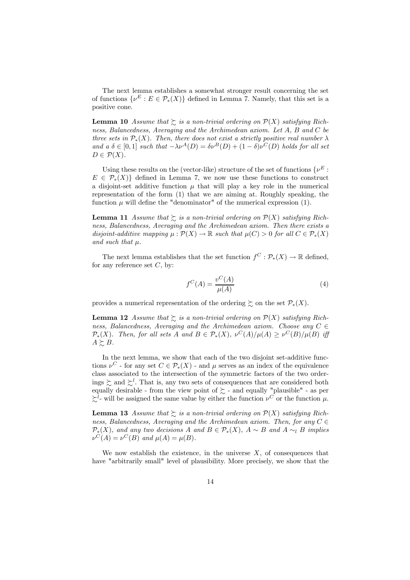The next lemma establishes a somewhat stronger result concerning the set of functions  $\{\nu^E : E \in \mathcal{P}_*(X)\}\$  defined in Lemma 7. Namely, that this set is a positive cone.

**Lemma 10** Assume that  $\succeq$  is a non-trivial ordering on  $\mathcal{P}(X)$  satisfying Richness, Balancedness, Averaging and the Archimedean axiom. Let  $A$ ,  $B$  and  $C$  be three sets in  $\mathcal{P}_*(X)$ . Then, there does not exist a strictly positive real number  $\lambda$ and a  $\delta \in [0,1]$  such that  $-\lambda \nu^{A}(D) = \delta \nu^{B}(D) + (1-\delta) \nu^{C}(D)$  holds for all set  $D \in \mathcal{P}(X)$ .

Using these results on the (vector-like) structure of the set of functions  $\{\nu^E:$  $E \in \mathcal{P}_*(X)$  defined in Lemma 7, we now use these functions to construct a disjoint-set additive function  $\mu$  that will play a key role in the numerical representation of the form (1) that we are aiming at. Roughly speaking, the function  $\mu$  will define the "denominator" of the numerical expression (1).

**Lemma 11** Assume that  $\succsim$  is a non-trivial ordering on  $\mathcal{P}(X)$  satisfying Richness, Balancedness, Averaging and the Archimedean axiom. Then there exists a disjoint-additive mapping  $\mu : \mathcal{P}(X) \to \mathbb{R}$  such that  $\mu(C) > 0$  for all  $C \in \mathcal{P}_*(X)$ and such that  $\mu$ .

The next lemma establishes that the set function  $f^C : \mathcal{P}_*(X) \to \mathbb{R}$  defined, for any reference set  $C$ , by:

$$
f^C(A) = \frac{v^C(A)}{\mu(A)}\tag{4}
$$

provides a numerical representation of the ordering  $\succeq$  on the set  $\mathcal{P}_*(X)$ .

**Lemma 12** Assume that  $\geq$  is a non-trivial ordering on  $\mathcal{P}(X)$  satisfying Richness, Balancedness, Averaging and the Archimedean axiom. Choose any  $C \in$  $\mathcal{P}_*(X)$ . Then, for all sets A and  $B \in \mathcal{P}_*(X)$ ,  $\nu^C(A)/\mu(A) \geq \nu^C(B)/\mu(B)$  iff  $A \succeq B$ .

In the next lemma, we show that each of the two disjoint set-additive functions  $\nu^C$  - for any set  $C \in \mathcal{P}_*(X)$  - and  $\mu$  serves as an index of the equivalence class associated to the intersection of the symmetric factors of the two orderings  $\succsim$  and  $\succsim<sup>l</sup>$ . That is, any two sets of consequences that are considered both equally desirable - from the view point of  $\succsim$  - and equally "plausible" - as per  $\succsim^{l}$ - will be assigned the same value by either the function  $\nu^{C}$  or the function  $\mu$ .

**Lemma 13** Assume that  $\succsim$  is a non-trivial ordering on  $\mathcal{P}(X)$  satisfying Richness, Balancedness, Averaging and the Archimedean axiom. Then, for any  $C \in$  $\mathcal{P}_*(X)$ , and any two decisions A and  $B \in \mathcal{P}_*(X)$ ,  $A \sim B$  and  $A \sim_l B$  implies  $\nu^C(A) = \nu^C(B)$  and  $\mu(A) = \mu(B)$ .

We now establish the existence, in the universe  $X$ , of consequences that have "arbitrarily small" level of plausibility. More precisely, we show that the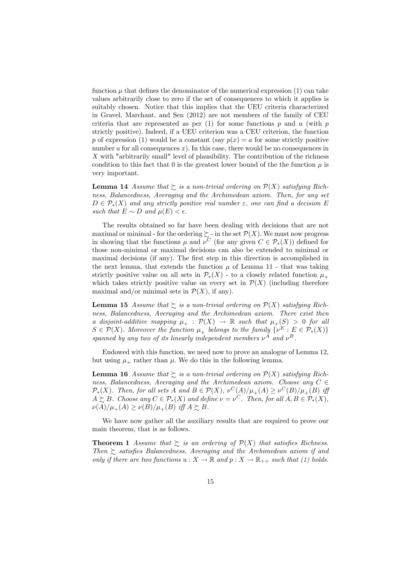function  $\mu$  that defines the denominator of the numerical expression (1) can take values arbitrarily close to zero if the set of consequences to which it applies is suitably chosen. Notice that this implies that the UEU criteria characterized in Gravel, Marchant, and Sen (2012) are not members of the family of CEU criteria that are represented as per (1) for some functions  $p$  and  $u$  (with  $p$ strictly positive). Indeed, if a UEU criterion was a CEU criterion, the function p of expression (1) would be a constant (say  $p(x) = a$  for some strictly positive number  $a$  for all consequences  $x$ ). In this case, there would be no consequences in  $X$  with "arbitrarily small" level of plausibility. The contribution of the richness condition to this fact that 0 is the greatest lower bound of the the function  $\mu$  is very important.

**Lemma 14** Assume that  $\sum$  is a non-trivial ordering on  $\mathcal{P}(X)$  satisfying Richness, Balancedness, Averaging and the Archimedean axiom. Then, for any set  $D \in \mathcal{P}_*(X)$  and any strictly positive real number  $\varepsilon$ , one can find a decision E such that  $E \sim D$  and  $\mu(E) < \epsilon$ .

The results obtained so far have been dealing with decisions that are not maximal or minimal - for the ordering  $\succsim$  - in the set  $\mathcal{P}(X)$ . We must now progress in showing that the functions  $\mu$  and  $\nu^C$  (for any given  $C \in \mathcal{P}_*(X)$ ) defined for those non-minimal or maximal decisions can also be extended to minimal or maximal decisions (if any). The first step in this direction is accomplished in the next lemma, that extends the function  $\mu$  of Lemma 11 - that was taking strictly positive value on all sets in  $\mathcal{P}_*(X)$  - to a closely related function  $\mu_+$ which takes strictly positive value on every set in  $\mathcal{P}(X)$  (including therefore maximal and/or minimal sets in  $\mathcal{P}(X)$ , if any).

**Lemma 15** Assume that  $\sum$  is a non-trivial ordering on  $\mathcal{P}(X)$  satisfying Richness, Balancedness, Averaging and the Archimedean axiom. There exist then a disjoint-additive mapping  $\mu_+ : \mathcal{P}(X) \to \mathbb{R}$  such that  $\mu_+(S) > 0$  for all  $S \in \mathcal{P}(X)$ . Moreover the function  $\mu_+$  belongs to the family  $\{\nu^E : E \in \mathcal{P}_*(X)\}$ spanned by any two of its linearly independent members  $\nu^A$  and  $\nu^B$ .

Endowed with this function, we need now to prove an analogue of Lemma 12, but using  $\mu_+$  rather than  $\mu$ . We do this in the following lemma.

**Lemma 16** Assume that  $\sum$  is a non-trivial ordering on  $\mathcal{P}(X)$  satisfying Richness, Balancedness, Averaging and the Archimedean axiom. Choose any  $C \in$  $\mathcal{P}_*(X)$ . Then, for all sets  $A$  and  $B \in \mathcal{P}(X)$ ,  $\nu^C(A)/\mu_+(A) \geq \nu^C(B)/\mu_+(B)$  if  $A \succeq B$ . Choose any  $C \in \mathcal{P}_*(X)$  and define  $\nu = \nu^C$ . Then, for all  $A, B \in \mathcal{P}_*(X)$ ,  $\nu(A)/\mu_+(A) \ge \nu(B)/\mu_+(B)$  iff  $A \succsim B$ .

We have now gather all the auxiliary results that are required to prove our main theorem, that is as follows.

**Theorem 1** Assume that  $\sum$  is an ordering of  $\mathcal{P}(X)$  that satisfies Richness. Then  $\gtrsim$  satisfies Balancedness, Averaging and the Archimedean axiom if and only if there are two functions  $u : X \to \mathbb{R}$  and  $p : X \to \mathbb{R}_{++}$  such that (1) holds.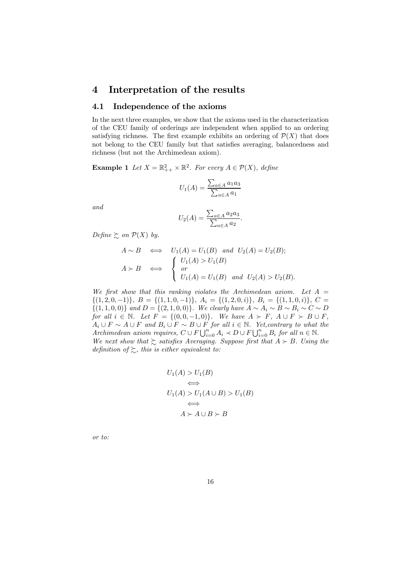## 4 Interpretation of the results

#### 4.1 Independence of the axioms

In the next three examples, we show that the axioms used in the characterization of the CEU family of orderings are independent when applied to an ordering satisfying richness. The first example exhibits an ordering of  $\mathcal{P}(X)$  that does not belong to the CEU family but that satisfies averaging, balancedness and richness (but not the Archimedean axiom).

**Example 1** Let  $X = \mathbb{R}^2_{++} \times \mathbb{R}^2$ . For every  $A \in \mathcal{P}(X)$ , define

$$
U_1(A) = \frac{\sum_{a \in A} a_1 a_3}{\sum_{a \in A} a_1}
$$

and

$$
U_2(A) = \frac{\sum_{a \in A} a_2 a_3}{\sum_{a \in A} a_2}.
$$

Define  $\succsim$  on  $\mathcal{P}(X)$  by.

$$
A \sim B \iff U_1(A) = U_1(B) \text{ and } U_2(A) = U_2(B);
$$
  
\n
$$
A \succ B \iff \begin{cases} U_1(A) > U_1(B) \\ or \\ U_1(A) = U_1(B) \text{ and } U_2(A) > U_2(B). \end{cases}
$$

We first show that this ranking violates the Archimedean axiom. Let  $A =$  $\{(1, 2, 0, -1)\}, B = \{(1, 1, 0, -1)\}, A_i = \{(1, 2, 0, i)\}, B_i = \{(1, 1, 0, i)\}, C =$  $\{(1, 1, 0, 0)\}\$ and  $D = \{(2, 1, 0, 0)\}\$ . We clearly have  $A \sim A_i \sim B \sim B_i \sim C \sim D$ for all  $i \in \mathbb{N}$ . Let  $F = \{(0, 0, -1, 0)\}$ . We have  $A \succ F$ ,  $A \cup F \succ B \cup F$ ,  $A_i \cup F \sim A \cup F$  and  $B_i \cup F \sim B \cup F$  for all  $i \in \mathbb{N}$ . Yet, contrary to what the Archimedean axiom requires,  $C \cup F \bigcup_{i=0}^{n} A_i \prec D \cup F \bigcup_{i=0}^{n} B_i$  for all  $n \in \mathbb{N}$ . We next show that  $\gtrsim$  satisfies Averaging. Suppose first that  $A \succ B$ . Using the definition of  $\gtrsim$ , this is either equivalent to:

$$
U_1(A) > U_1(B)
$$
  
\n
$$
\iff
$$
  
\n
$$
U_1(A) > U_1(A \cup B) > U_1(B)
$$
  
\n
$$
\iff
$$
  
\n
$$
A \succ A \cup B \succ B
$$

or to: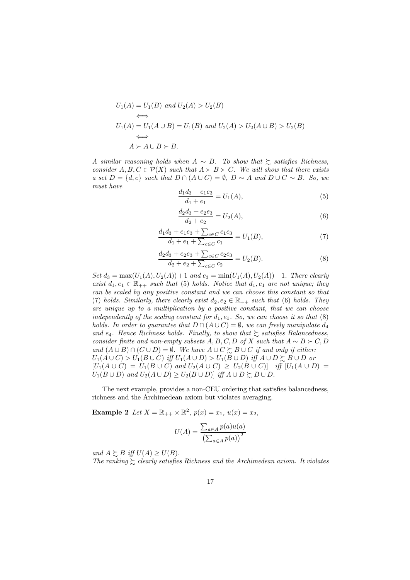$$
U_1(A) = U_1(B) \text{ and } U_2(A) > U_2(B)
$$
  
\n
$$
\iff
$$
  
\n
$$
U_1(A) = U_1(A \cup B) = U_1(B) \text{ and } U_2(A) > U_2(A \cup B) > U_2(B)
$$
  
\n
$$
\iff
$$
  
\n
$$
A \succ A \cup B \succ B.
$$

A similar reasoning holds when  $A \sim B$ . To show that  $\succeq$  satisfies Richness, consider  $A, B, C \in \mathcal{P}(X)$  such that  $A \succ B \succ C$ . We will show that there exists a set  $D = \{d, e\}$  such that  $D \cap (A \cup C) = \emptyset$ ,  $D \sim A$  and  $D \cup C \sim B$ . So, we must have

$$
\frac{d_1 d_3 + e_1 e_3}{d_1 + e_1} = U_1(A),\tag{5}
$$

$$
\frac{d_2 d_3 + e_2 e_3}{d_2 + e_2} = U_2(A),\tag{6}
$$

$$
\frac{d_1 d_3 + e_1 e_3 + \sum_{c \in C} c_1 c_3}{d_1 + e_1 + \sum_{c \in C} c_1} = U_1(B),\tag{7}
$$

$$
\frac{d_2 d_3 + e_2 e_3 + \sum_{c \in C} c_2 c_3}{d_2 + e_2 + \sum_{c \in C} c_2} = U_2(B).
$$
\n(8)

 $Set d_3 = \max(U_1(A), U_2(A)) + 1$  and  $e_3 = \min(U_1(A), U_2(A)) - 1$ . There clearly exist  $d_1, e_1 \in \mathbb{R}_{++}$  such that (5) holds. Notice that  $d_1, e_1$  are not unique; they can be scaled by any positive constant and we can choose this constant so that (7) holds. Similarly, there clearly exist  $d_2, e_2 \in \mathbb{R}_{++}$  such that (6) holds. They are unique up to a multiplication by a positive constant, that we can choose independently of the scaling constant for  $d_1, e_1$ . So, we can choose it so that  $(8)$ holds. In order to guarantee that  $D \cap (A \cup C) = \emptyset$ , we can freely manipulate  $d_4$ and  $e_4$ . Hence Richness holds. Finally, to show that  $\gtrsim$  satisfies Balancedness, consider finite and non-empty subsets  $A, B, C, D$  of  $X$  such that  $A \sim B \succ C, D$ and  $(A \cup B) \cap (C \cup D) = \emptyset$ . We have  $A \cup C \succeq B \cup C$  if and only if either:  $U_1(A\cup C) > U_1(B\cup C)$  iff  $U_1(A\cup D) > U_1(B\cup D)$  iff  $A\cup D \succsim B\cup D$  or  $[U_1(A\cup C) = U_1(B\cup C)$  and  $U_2(A\cup C) \geq U_2(B\cup C)$  iff  $[U_1(A\cup D) =$  $U_1(B \cup D)$  and  $U_2(A \cup D) \geq U_2(B \cup D)$  iff  $A \cup D \succeq B \cup D$ .

The next example, provides a non-CEU ordering that satisfies balancedness, richness and the Archimedean axiom but violates averaging.

**Example 2** Let  $X = \mathbb{R}_{++} \times \mathbb{R}^2$ ,  $p(x) = x_1$ ,  $u(x) = x_2$ ,

$$
U(A) = \frac{\sum_{a \in A} p(a)u(a)}{\left(\sum_{a \in A} p(a)\right)^2}
$$

and  $A \succeq B$  iff  $U(A) \geq U(B)$ . The ranking  $\sum$  clearly satisfies Richness and the Archimedean axiom. It violates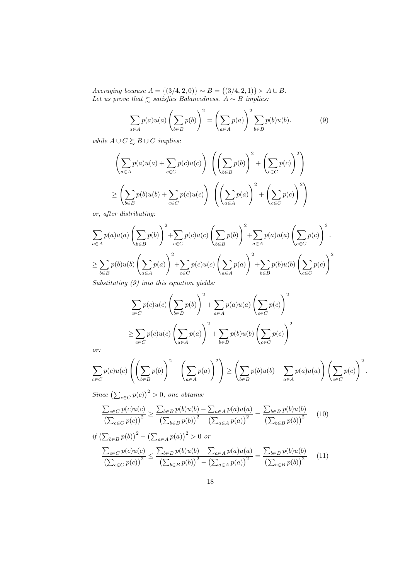Averaging because  $A = \{(3/4, 2, 0)\} \sim B = \{(3/4, 2, 1)\} \succ A \cup B$ . Let us prove that  $\succsim$  satisfies Balancedness.  $A \sim B$  implies:

$$
\sum_{a \in A} p(a)u(a) \left(\sum_{b \in B} p(b)\right)^2 = \left(\sum_{a \in A} p(a)\right)^2 \sum_{b \in B} p(b)u(b).
$$
 (9)

while  $A \cup C \succsim B \cup C$  implies:

$$
\left(\sum_{a \in A} p(a)u(a) + \sum_{c \in C} p(c)u(c)\right) \left(\left(\sum_{b \in B} p(b)\right)^2 + \left(\sum_{c \in C} p(c)\right)^2\right)
$$
  

$$
\ge \left(\sum_{b \in B} p(b)u(b) + \sum_{c \in C} p(c)u(c)\right) \left(\left(\sum_{a \in A} p(a)\right)^2 + \left(\sum_{c \in C} p(c)\right)^2\right)
$$

or, after distributing:

$$
\sum_{a \in A} p(a)u(a) \left(\sum_{b \in B} p(b)\right)^2 + \sum_{c \in C} p(c)u(c) \left(\sum_{b \in B} p(b)\right)^2 + \sum_{a \in A} p(a)u(a) \left(\sum_{c \in C} p(c)\right)^2.
$$
  
\n
$$
\geq \sum_{b \in B} p(b)u(b) \left(\sum_{a \in A} p(a)\right)^2 + \sum_{c \in C} p(c)u(c) \left(\sum_{a \in A} p(a)\right)^2 + \sum_{b \in B} p(b)u(b) \left(\sum_{c \in C} p(c)\right)^2.
$$
  
\nSubstituting (9) into this equation yields:

Substituting  $(9)$  into this equation yields:

$$
\sum_{c \in C} p(c)u(c) \left(\sum_{b \in B} p(b)\right)^2 + \sum_{a \in A} p(a)u(a) \left(\sum_{c \in C} p(c)\right)^2
$$
  

$$
\ge \sum_{c \in C} p(c)u(c) \left(\sum_{a \in A} p(a)\right)^2 + \sum_{b \in B} p(b)u(b) \left(\sum_{c \in C} p(c)\right)^2
$$

or:

$$
\sum_{c \in C} p(c)u(c) \left( \left( \sum_{b \in B} p(b) \right)^2 - \left( \sum_{a \in A} p(a) \right)^2 \right) \ge \left( \sum_{b \in B} p(b)u(b) - \sum_{a \in A} p(a)u(a) \right) \left( \sum_{c \in C} p(c) \right)^2.
$$

Since  $\left(\sum_{c \in C} p(c)\right)^2 > 0$ , one obtains:

$$
\frac{\sum_{c \in C} p(c)u(c)}{\left(\sum_{c \in C} p(c)\right)^2} \ge \frac{\sum_{b \in B} p(b)u(b) - \sum_{a \in A} p(a)u(a)}{\left(\sum_{b \in B} p(b)\right)^2 - \left(\sum_{a \in A} p(a)\right)^2} = \frac{\sum_{b \in B} p(b)u(b)}{\left(\sum_{b \in B} p(b)\right)^2} \tag{10}
$$

$$
if \left(\sum_{b \in B} p(b)\right)^2 - \left(\sum_{a \in A} p(a)\right)^2 > 0 \text{ or}
$$
\n
$$
\frac{\sum_{c \in C} p(c)u(c)}{\left(\sum_{c \in C} p(c)\right)^2} \le \frac{\sum_{b \in B} p(b)u(b) - \sum_{a \in A} p(a)u(a)}{\left(\sum_{b \in B} p(b)\right)^2 - \left(\sum_{a \in A} p(a)\right)^2} = \frac{\sum_{b \in B} p(b)u(b)}{\left(\sum_{b \in B} p(b)\right)^2} \tag{11}
$$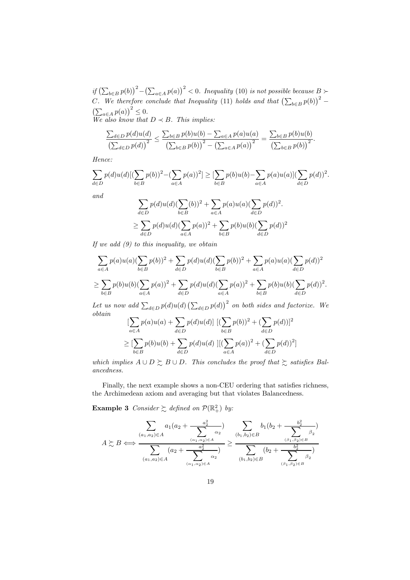if  $\left(\sum_{b\in B} p(b)\right)^2 - \left(\sum_{a\in A} p(a)\right)^2 < 0$ . Inequality (10) is not possible because  $B \succ$ C. We therefore conclude that Inequality (11) holds and that  $\left(\sum_{b \in B} p(b)\right)^2 - \left(\sum_{c \in A} p(a)\right)^2 \leq 0$ .  $_{a\in A}p(a)\big)^{2}\leq 0.$ We also know that  $D \prec B$ . This implies:

$$
\frac{\sum_{d \in D} p(d)u(d)}{\left(\sum_{d \in D} p(d)\right)^2} \le \frac{\sum_{b \in B} p(b)u(b) - \sum_{a \in A} p(a)u(a)}{\left(\sum_{b \in B} p(b)\right)^2 - \left(\sum_{a \in A} p(a)\right)^2} = \frac{\sum_{b \in B} p(b)u(b)}{\left(\sum_{b \in B} p(b)\right)^2}.
$$

Hence:

$$
\sum_{d \in D} p(d)u(d)[(\sum_{b \in B} p(b))^2 - (\sum_{a \in A} p(a))^2] \geq [\sum_{b \in B} p(b)u(b) - \sum_{a \in A} p(a)u(a)](\sum_{d \in D} p(d))^2.
$$
  
and  

$$
\sum_{a \in A} p(d)u(d)(\sum(b))^2 + \sum_{a \in A} p(a)u(a)(\sum_{a \in A} p(a))^2
$$

$$
\sum_{d \in D} p(d)u(d) (\sum_{b \in B} (b))^2 + \sum_{a \in A} p(a)u(a) (\sum_{d \in D} p(d))^2.
$$
  

$$
\geq \sum_{d \in D} p(d)u(d) (\sum_{a \in A} p(a))^2 + \sum_{b \in B} p(b)u(b) (\sum_{d \in D} p(d))^2
$$

If we add  $(9)$  to this inequality, we obtain

$$
\sum_{a \in A} p(a)u(a) (\sum_{b \in B} p(b))^2 + \sum_{d \in D} p(d)u(d) (\sum_{b \in B} p(b))^2 + \sum_{a \in A} p(a)u(a) (\sum_{d \in D} p(d))^2
$$
  

$$
\geq \sum_{b \in B} p(b)u(b) (\sum_{a \in A} p(a))^2 + \sum_{d \in D} p(d)u(d) (\sum_{a \in A} p(a))^2 + \sum_{b \in B} p(b)u(b) (\sum_{d \in D} p(d))^2.
$$

Let us now add  $\sum_{d\in D} p(d)u(d) \left(\sum_{d\in D} p(d)\right)^2$  on both sides and factorize. We obtain

$$
\left[\sum_{a \in A} p(a)u(a) + \sum_{d \in D} p(d)u(d)\right] \left[ (\sum_{b \in B} p(b))^2 + (\sum_{d \in D} p(d)) \right]^2
$$
  
 
$$
\geq \left[\sum_{b \in B} p(b)u(b) + \sum_{d \in D} p(d)u(d)\right] \left[ (\sum_{a \in A} p(a))^2 + (\sum_{d \in D} p(d))^2 \right]
$$

which implies  $A \cup D \succsim B \cup D$ . This concludes the proof that  $\succsim$  satisfies Balancedness.

Finally, the next example shows a non-CEU ordering that satisfies richness, the Archimedean axiom and averaging but that violates Balancedness.

**Example 3** Consider  $\succsim$  defined on  $\mathcal{P}(\mathbb{R}^2_+)$  by:

$$
A \succsim B \Longleftrightarrow \frac{\sum_{(a_1, a_2) \in A} a_1(a_2 + \frac{a_2^2}{\sum_{(\alpha_1, \alpha_2) \in A} a_2})}{\sum_{(a_1, a_2) \in A} (a_2 + \frac{a_2^2}{\sum_{(\alpha_1, \alpha_2) \in A} a_2})} \ge \frac{\sum_{(b_1, b_2) \in B} b_1(b_2 + \frac{b_2^2}{\sum_{(\beta_1, \beta_2) \in B} a_2})}{\sum_{(b_1, b_2) \in B} (b_2 + \frac{b_2^2}{\sum_{(\beta_1, \beta_2) \in B} a_2})}
$$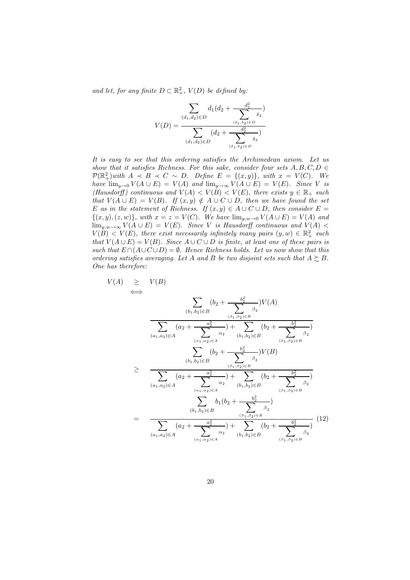and let, for any finite  $D \subset \mathbb{R}^2_+$ ,  $V(D)$  be defined by:

$$
V(D) = \frac{\sum_{(d_1, d_2) \in D} d_1(d_2 + \frac{d_2^2}{\sum_{(\delta_1, \delta_2) \in D} \delta_2})}{\sum_{(d_1, d_2) \in D} (d_2 + \frac{d_2^2}{\sum_{(\delta_1, \delta_2) \in D} \delta_2})}
$$

It is easy to see that this ordering satisfies the Archimedean axiom. Let us show that it satisfies Richness. For this sake, consider four sets  $A, B, C, D \in$  $\mathcal{P}(\mathbb{R}^2_+)$  with  $A \prec B \prec C \sim D$ . Define  $E = \{(x, y)\}$ , with  $x = V(C)$ . We have  $\lim_{y\to 0} V(A\cup E) = V(A)$  and  $\lim_{y\to \infty} V(A\cup E) = V(E)$ . Since V is (Hausdorff) continuous and  $V(A) < V(B) < V(E)$ , there exists  $y \in \mathbb{R}_+$  such that  $V(A \cup E) = V(B)$ . If  $(x, y) \notin A \cup C \cup D$ , then we have found the set E as in the statement of Richness. If  $(x, y) \in A \cup C \cup D$ , then consider  $E =$  $\{(x, y), (z, w)\}\$ , with  $x = z = V(C)$ . We have  $\lim_{y, w \to 0} V(A \cup E) = V(A)$  and  $\lim_{y,w\to\infty} V(A\cup E) = V(E)$ . Since V is Hausdorff continuous and  $V(A)$  $V(B) < V(E)$ , there exist necessarily infinitely many pairs  $(y, w) \in \mathbb{R}_+^2$  such that  $V(A\cup E) = V(B)$ . Since  $A\cup C\cup D$  is finite, at least one of these pairs is such that  $E \cap (A \cup C \cup D) = \emptyset$ . Hence Richness holds. Let us now show that this ordering satisfies averaging. Let A and B be two disjoint sets such that  $A \succeq B$ . One has therefore:

$$
V(A) \geq V(B) \qquad \Longleftrightarrow \qquad \sum_{(b_1, b_2) \in B} (b_2 + \frac{b_2^2}{\sum_{(\beta_1, \beta_2) \in B} \beta_2}) V(A)
$$
\n
$$
\frac{\sum_{(a_1, a_2) \in A} (a_2 + \frac{a_2^2}{\sum_{(\alpha_1, \alpha_2) \in A} \alpha_2}) + \sum_{(b_1, b_2) \in B} (b_2 + \frac{b_2^2}{\sum_{(\beta_1, \beta_2) \in B} \beta_2})}{\sum_{(b_1, b_2) \in B} (b_2 + \frac{b_2^2}{\sum_{(\beta_1, \beta_2) \in B} \beta_2}) V(B)}
$$
\n
$$
\geq \frac{\sum_{(a_1, a_2) \in A} (a_2 + \frac{a_2^2}{\sum_{(\alpha_1, \alpha_2) \in A} \alpha_2}) + \sum_{(b_1, b_2) \in B} (b_2 + \frac{b_2^2}{\sum_{(\beta_1, \beta_2) \in B} \beta_2})}{\sum_{(b_1, b_2) \in B} b_1 (b_2 + \frac{b_2^2}{\sum_{(\beta_1, \beta_2) \in B} \beta_2})}
$$
\n
$$
= \frac{\sum_{(a_1, a_2) \in A} (a_2 + \frac{a_2^2}{\sum_{(\alpha_1, \alpha_2) \in A} \alpha_2}) + \sum_{(\beta_1, \beta_2) \in B} (b_2 + \frac{b_2^2}{\sum_{(\beta_1, \beta_2) \in B} \beta_2})} (12)
$$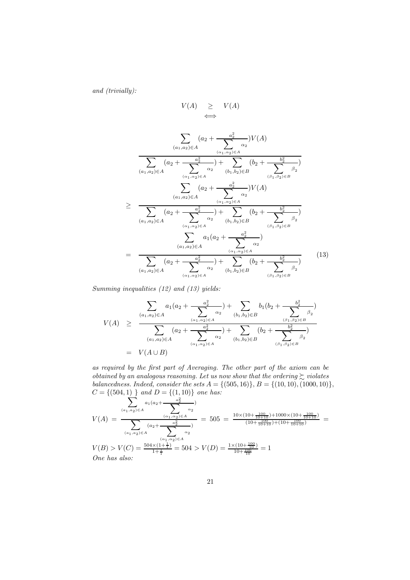and (trivially):

$$
V(A) \geq V(A)
$$
\n
$$
\iff (A) \geq V(A)
$$
\n
$$
\iff (A) \geq V(A)
$$
\n
$$
\iff (A) \geq V(A)
$$
\n
$$
\iff (A) \geq V(A)
$$
\n
$$
\iff (A) \geq V(A)
$$
\n
$$
\iff (A) \geq V(A)
$$
\n
$$
\iff (A) \geq V(A)
$$
\n
$$
\iff (A) \geq V(A)
$$
\n
$$
\iff (A) \geq V(A)
$$
\n
$$
\iff (A) \geq V(A)
$$
\n
$$
\iff (A) \geq V(A)
$$
\n
$$
\iff (A) \geq V(A)
$$
\n
$$
\iff (A) \geq V(A)
$$
\n
$$
\iff (A) \geq V(A)
$$
\n
$$
\iff (A) \geq V(A)
$$
\n
$$
\iff (A) \geq V(A)
$$
\n
$$
\iff (A) \geq V(A)
$$
\n
$$
\iff (A) \geq V(A)
$$
\n
$$
\iff (A) \geq V(A)
$$
\n
$$
\iff (A) \geq V(A)
$$
\n
$$
\iff (A) \geq V(A)
$$
\n
$$
\iff (A) \geq V(A)
$$
\n
$$
\iff (A) \geq V(A)
$$
\n
$$
\iff (A) \geq V(A)
$$
\n
$$
\iff (A) \geq V(A)
$$
\n
$$
\iff (A) \geq V(A)
$$
\n
$$
\iff (A) \geq V(A)
$$
\n
$$
\iff (A) \geq V(A)
$$
\n
$$
\iff (A) \geq V(A)
$$
\n
$$
\iff (A) \geq V(A)
$$
\n
$$
\iff (A) \geq V(A)
$$
\n
$$
\iff (A) \geq V(A)
$$
\n
$$
\iff (A) \geq V(A)
$$
\n
$$
\iff (A) \geq V(A)
$$
\n
$$
\iff (A) \geq V(A)
$$
\n
$$
\iff (A) \geq V(A)
$$
\n
$$
\iff (A) \geq V(A)
$$
\n
$$
\iff (A) \geq V(A)
$$
\n
$$
\iff (A) \geq V(A)
$$
\n
$$
\
$$

Summing inequalities (12) and (13) yields:

$$
V(A) \geq \frac{\sum_{(a_1, a_2) \in A} a_1(a_2 + \frac{a_2^2}{\sum_{(a_1, a_2) \in A} a_2} + \sum_{(b_1, b_2) \in B} b_1(b_2 + \frac{b_2^2}{\sum_{( \beta_1, \beta_2) \in B} \beta_2})}{\sum_{(a_1, a_2) \in A} (a_2 + \frac{a_2^2}{\sum_{( \alpha_1, \alpha_2) \in A} a_2} + \sum_{(b_1, b_2) \in B} (b_2 + \frac{b_2^2}{\sum_{( \beta_1, \beta_2) \in B} \beta_2})}
$$
  
=  $V(A \cup B)$ 

as required by the first part of Averaging. The other part of the axiom can be obtained by an analogous reasoning. Let us now show that the ordering  $\succsim$  violates balancedness. Indeed, consider the sets  $A = \{(505, 16)\}, B = \{(10, 10), (1000, 10)\},$ 

$$
C = \{(504, 1)\} \text{ and } D = \{(1, 10)\} \text{ one has:}
$$
\n
$$
V(A) = \frac{\sum_{(a_1, a_2) \in A} a_1(a_2 + \frac{a_2^2}{\sum_{(a_1, a_2) \in A} a_2})}{\sum_{(a_1, a_2) \in A} (a_2 + \frac{a_2^2}{\sum_{(a_1, a_2) \in A} a_2})} = 505 = \frac{10 \times (10 + \frac{100}{10 + 10}) + 1000 \times (10 + \frac{100}{10 + 10})}{(10 + \frac{100}{10 + 10}) + (10 + \frac{100}{10 + 10})} =
$$
\n
$$
V(B) > V(C) = \frac{504 \times (1 + \frac{1}{1})}{1 + \frac{1}{1}} = 504 > V(D) = \frac{1 \times (10 + \frac{100}{10})}{10 + \frac{100}{10}} = 1
$$
\nOne has also: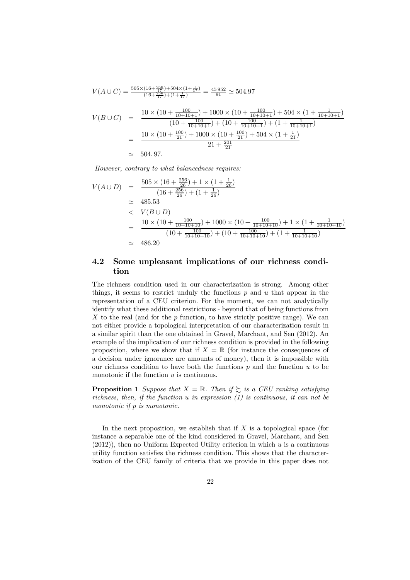$$
V(A \cup C) = \frac{505 \times (16 + \frac{256}{17}) + 504 \times (1 + \frac{1}{17})}{(16 + \frac{256}{17}) + (1 + \frac{1}{17})} = \frac{45952}{91} \approx 504.97
$$
  
\n
$$
V(B \cup C) = \frac{10 \times (10 + \frac{100}{10 + 10 + 1}) + 1000 \times (10 + \frac{100}{10 + 10 + 1}) + 504 \times (1 + \frac{1}{10 + 10 + 1})}{(10 + \frac{100}{10 + 10 + 1}) + (10 + \frac{100}{10 + 10 + 1}) + (1 + \frac{1}{10 + 10 + 1})}
$$
  
\n
$$
= \frac{10 \times (10 + \frac{100}{21}) + 1000 \times (10 + \frac{100}{21}) + 504 \times (1 + \frac{1}{21})}{21 + \frac{201}{21}}
$$
  
\n
$$
\approx 504.97.
$$

However, contrary to what balancedness requires:

$$
V(A \cup D) = \frac{505 \times (16 + \frac{256}{26}) + 1 \times (1 + \frac{1}{26})}{(16 + \frac{256}{26}) + (1 + \frac{1}{26})}
$$
  
\n
$$
\approx 485.53
$$
  
\n
$$
\times V(B \cup D)
$$
  
\n
$$
= \frac{10 \times (10 + \frac{100}{10 + 10 + 10}) + 1000 \times (10 + \frac{100}{10 + 10 + 10}) + 1 \times (1 + \frac{1}{10 + 10 + 10})}{(10 + \frac{100}{10 + 10 + 10}) + (10 + \frac{100}{10 + 10 + 10}) + (1 + \frac{1}{10 + 10 + 10})}
$$
  
\n
$$
\approx 486.20
$$

### 4.2 Some unpleasant implications of our richness condition

The richness condition used in our characterization is strong. Among other things, it seems to restrict unduly the functions  $p$  and  $u$  that appear in the representation of a CEU criterion. For the moment, we can not analytically identify what these additional restrictions - beyond that of being functions from  $X$  to the real (and for the  $p$  function, to have strictly positive range). We can not either provide a topological interpretation of our characterization result in a similar spirit than the one obtained in Gravel, Marchant, and Sen (2012). An example of the implication of our richness condition is provided in the following proposition, where we show that if  $X = \mathbb{R}$  (for instance the consequences of a decision under ignorance are amounts of money), then it is impossible with our richness condition to have both the functions  $p$  and the function  $u$  to be monotonic if the function  $u$  is continuous.

**Proposition 1** Suppose that  $X = \mathbb{R}$ . Then if  $\sum$  is a CEU ranking satisfying richness, then, if the function  $u$  in expression  $(1)$  is continuous, it can not be monotonic if  $p$  is monotonic.

In the next proposition, we establish that if  $X$  is a topological space (for instance a separable one of the kind considered in Gravel, Marchant, and Sen  $(2012)$ , then no Uniform Expected Utility criterion in which  $u$  is a continuous utility function satisfies the richness condition. This shows that the characterization of the CEU family of criteria that we provide in this paper does not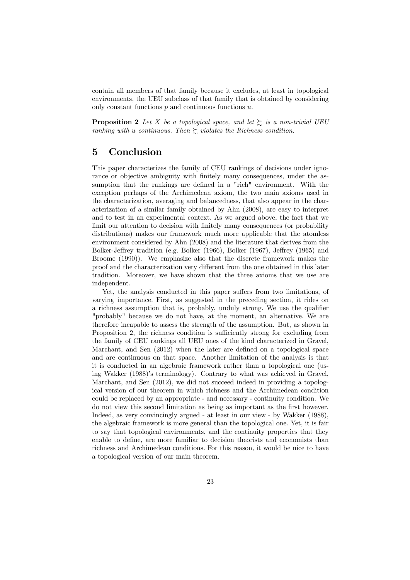contain all members of that family because it excludes, at least in topological environments, the UEU subclass of that family that is obtained by considering only constant functions  $p$  and continuous functions  $u$ .

**Proposition 2** Let X be a topological space, and let  $\geq$  is a non-trivial UEU ranking with *u* continuous. Then  $\succsim$  violates the Richness condition.

## 5 Conclusion

This paper characterizes the family of CEU rankings of decisions under ignorance or objective ambiguity with finitely many consequences, under the assumption that the rankings are defined in a "rich" environment. With the exception perhaps of the Archimedean axiom, the two main axioms used in the characterization, averaging and balancedness, that also appear in the characterization of a similar family obtained by Ahn (2008), are easy to interpret and to test in an experimental context. As we argued above, the fact that we limit our attention to decision with finitely many consequences (or probability distributions) makes our framework much more applicable that the atomless environment considered by Ahn (2008) and the literature that derives from the Bolker-Jeffrey tradition (e.g. Bolker (1966), Bolker (1967), Jeffrey (1965) and Broome (1990)). We emphasize also that the discrete framework makes the proof and the characterization very different from the one obtained in this later tradition. Moreover, we have shown that the three axioms that we use are independent.

Yet, the analysis conducted in this paper suffers from two limitations, of varying importance. First, as suggested in the preceding section, it rides on a richness assumption that is, probably, unduly strong. We use the qualifier "probably" because we do not have, at the moment, an alternative. We are therefore incapable to assess the strength of the assumption. But, as shown in Proposition 2, the richness condition is sufficiently strong for excluding from the family of CEU rankings all UEU ones of the kind characterized in Gravel, Marchant, and Sen (2012) when the later are defined on a topological space and are continuous on that space. Another limitation of the analysis is that it is conducted in an algebraic framework rather than a topological one (using Wakker (1988)'s terminology). Contrary to what was achieved in Gravel, Marchant, and Sen (2012), we did not succeed indeed in providing a topological version of our theorem in which richness and the Archimedean condition could be replaced by an appropriate - and necessary - continuity condition. We do not view this second limitation as being as important as the first however. Indeed, as very convincingly argued - at least in our view - by Wakker (1988), the algebraic framework is more general than the topological one. Yet, it is fair to say that topological environments, and the continuity properties that they enable to define, are more familiar to decision theorists and economists than richness and Archimedean conditions. For this reason, it would be nice to have a topological version of our main theorem.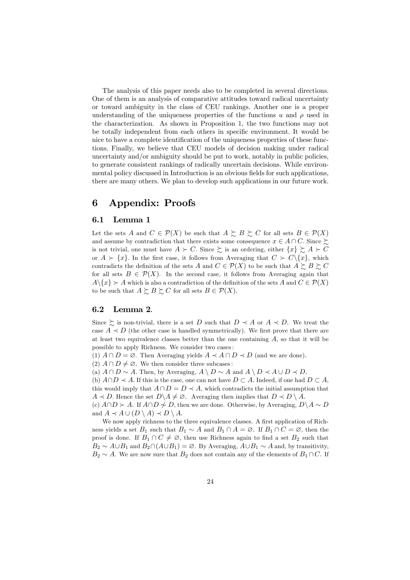The analysis of this paper needs also to be completed in several directions. One of them is an analysis of comparative attitudes toward radical uncertainty or toward ambiguity in the class of CEU rankings. Another one is a proper understanding of the uniqueness properties of the functions  $u$  and  $\rho$  used in the characterization. As shown in Proposition 1, the two functions may not be totally independent from each others in specific environment. It would be nice to have a complete identification of the uniqueness properties of these functions. Finally, we believe that CEU models of decision making under radical uncertainty and/or ambiguity should be put to work, notably in public policies, to generate consistent rankings of radically uncertain decisions. While environmental policy discussed in Introduction is an obvious fields for such applications, there are many others. We plan to develop such applications in our future work.

## 6 Appendix: Proofs

#### 6.1 Lemma 1

Let the sets A and  $C \in \mathcal{P}(X)$  be such that  $A \succeq B \succeq C$  for all sets  $B \in \mathcal{P}(X)$ and assume by contradiction that there exists some consequence  $x \in A \cap C$ . Since  $\succsim$ is not trivial, one must have  $A \succ C$ . Since  $\succeq$  is an ordering, either  $\{x\} \succsim A \succ C$ or  $A \succ \{x\}$ . In the first case, it follows from Averaging that  $C \succ C \setminus \{x\}$ , which contradicts the definition of the sets A and  $C \in \mathcal{P}(X)$  to be such that  $A \succeq B \succeq C$ for all sets  $B \in \mathcal{P}(X)$ . In the second case, it follows from Averaging again that  $A \setminus \{x\} \succ A$  which is also a contradiction of the definition of the sets A and  $C \in \mathcal{P}(X)$ to be such that  $A \succeq B \succeq C$  for all sets  $B \in \mathcal{P}(X)$ .

#### 6.2 Lemma 2.

Since  $\succsim$  is non-trivial, there is a set D such that  $D \prec A$  or  $A \prec D$ . We treat the case  $A \prec D$  (the other case is handled symmetrically). We first prove that there are at least two equivalence classes better than the one containing  $A$ , so that it will be possible to apply Richness. We consider two cases :

(1)  $A \cap D = \emptyset$ . Then Averaging yields  $A \prec A \cap D \prec D$  (and we are done).

(2)  $A \cap D \neq \emptyset$ . We then consider three subcases:

(a)  $A \cap D \sim A$ . Then, by Averaging,  $A \setminus D \sim A$  and  $A \setminus D \prec A \cup D \prec D$ .

(b)  $A \cap D \prec A$ . If this is the case, one can not have  $D \subset A$ . Indeed, if one had  $D \subset A$ , this would imply that  $A \cap D = D \prec A$ , which contradicts the initial assumption that  $A \prec D$ . Hence the set  $D \backslash A \neq \emptyset$ . Averaging then implies that  $D \prec D \backslash A$ .

(c)  $A \cap D$  ≻ A. If  $A \cap D \not\sim D$ , then we are done. Otherwise, by Averaging,  $D \setminus A \sim D$ and  $A \prec A \cup (D \setminus A) \prec D \setminus A$ .

We now apply richness to the three equivalence classes. A first application of Richness yields a set  $B_1$  such that  $B_1 \sim A$  and  $B_1 \cap A = \emptyset$ . If  $B_1 \cap C = \emptyset$ , then the proof is done. If  $B_1 \cap C \neq \emptyset$ , then use Richness again to find a set  $B_2$  such that  $B_2 \sim A \cup B_1$  and  $B_2 \cap (A \cup B_1) = \emptyset$ . By Averaging,  $A \cup B_1 \sim A$  and, by transitivity,  $B_2 \sim A$ . We are now sure that  $B_2$  does not contain any of the elements of  $B_1 \cap C$ . If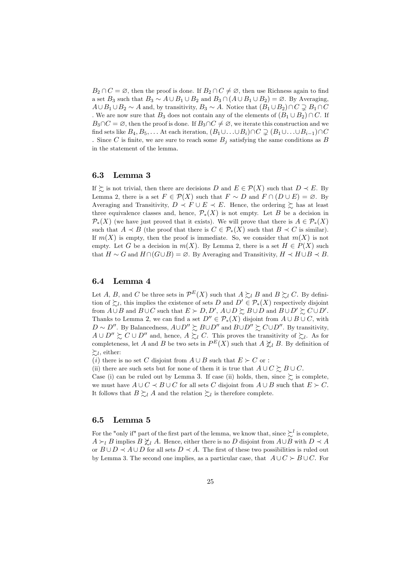$B_2 \cap C = \emptyset$ , then the proof is done. If  $B_2 \cap C \neq \emptyset$ , then use Richness again to find a set  $B_3$  such that  $B_3 \sim A \cup B_1 \cup B_2$  and  $B_3 \cap (A \cup B_1 \cup B_2) = \emptyset$ . By Averaging,  $A \cup B_1 \cup B_2 \sim A$  and, by transitivity,  $B_3 \sim A$ . Notice that  $(B_1 \cup B_2) \cap C \supsetneq B_1 \cap C$ . We are now sure that  $B_3$  does not contain any of the elements of  $(B_1 \cup B_2) \cap C$ . If  $B_3 \cap C = \emptyset$ , then the proof is done. If  $B_3 \cap C \neq \emptyset$ , we iterate this construction and we find sets like  $B_4, B_5, \ldots$  At each iteration,  $(B_1 \cup \ldots \cup B_i) \cap C \supsetneq (B_1 \cup \ldots \cup B_{i-1}) \cap C$ . Since C is finite, we are sure to reach some  $B_j$  satisfying the same conditions as B in the statement of the lemma.

#### 6.3 Lemma 3

If  $\succeq$  is not trivial, then there are decisions D and  $E \in \mathcal{P}(X)$  such that  $D \prec E$ . By Lemma 2, there is a set  $F \in \mathcal{P}(X)$  such that  $F \sim D$  and  $F \cap (D \cup E) = \emptyset$ . By Averaging and Transitivity,  $D \prec F \cup E \prec E$ . Hence, the ordering  $\succsim$  has at least three equivalence classes and, hence,  $\mathcal{P}_*(X)$  is not empty. Let B be a decision in  $\mathcal{P}_*(X)$  (we have just proved that it exists). We will prove that there is  $A \in \mathcal{P}_*(X)$ such that  $A \prec B$  (the proof that there is  $C \in \mathcal{P}_*(X)$  such that  $B \prec C$  is similar). If  $m(X)$  is empty, then the proof is immediate. So, we consider that  $m(X)$  is not empty. Let G be a decision in  $m(X)$ . By Lemma 2, there is a set  $H \in P(X)$  such that  $H \sim G$  and  $H \cap (G \cup B) = \emptyset$ . By Averaging and Transitivity,  $H \prec H \cup B \prec B$ .

#### 6.4 Lemma 4

Let A, B, and C be three sets in  $\mathcal{P}^{E}(X)$  such that  $A \succeq_{l} B$  and  $B \succeq_{l} C$ . By definition of  $\sum_l$ , this implies the existence of sets D and  $D' \in \mathcal{P}_*(X)$  respectively disjoint from  $A \cup B$  and  $B \cup C$  such that  $E \succ D$ ,  $D'$ ,  $A \cup D \succsim B \cup D$  and  $B \cup D' \succsim C \cup D'$ . Thanks to Lemma 2, we can find a set  $D'' \in \mathcal{P}_*(X)$  disjoint from  $A \cup B \cup C$ , with  $D \sim D''$ . By Balancedness,  $A \cup D'' \succeq B \cup D''$  and  $B \cup D'' \succeq C \cup D''$ . By transitivity,  $A \cup D'' \succsim C \cup D''$  and, hence,  $A \succsim_l C$ . This proves the transitivity of  $\succsim_l$ . As for completeness, let A and B be two sets in  $P^{E}(X)$  such that  $A \nleq_l B$ . By definition of  $\sum_l$ , either:

(i) there is no set C disjoint from  $A \cup B$  such that  $E \succ C$  or :

(ii) there are such sets but for none of them it is true that  $A\cup C\succeq B\cup C$ .

Case (i) can be ruled out by Lemma 3. If case (ii) holds, then, since  $\gtrsim$  is complete, we must have  $A \cup C \prec B \cup C$  for all sets C disjoint from  $A \cup B$  such that  $E \succ C$ . It follows that  $B \succeq_l A$  and the relation  $\succeq_l$  is therefore complete.

#### 6.5 Lemma 5

For the "only if" part of the first part of the lemma, we know that, since  $\sum^{l}$  is complete,  $A \succ_l B$  implies  $B \not\preceq_l A$ . Hence, either there is no D disjoint from  $A \cup B$  with  $D \prec A$ or  $B\cup D\prec A\cup D$  for all sets  $D\prec A$ . The first of these two possibilities is ruled out by Lemma 3. The second one implies, as a particular case, that  $A\cup C\succ B\cup C$ . For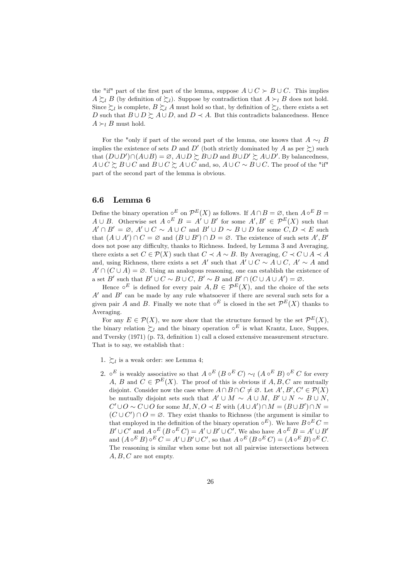the "if" part of the first part of the lemma, suppose  $A \cup C \succ B \cup C$ . This implies  $A \succeq_l B$  (by definition of  $\succeq_l$ ). Suppose by contradiction that  $A \succ_l B$  does not hold. Since  $\sum_l$  is complete,  $B \sum_l A$  must hold so that, by definition of  $\sum_l$ , there exists a set D such that  $B \cup D \succsim A \cup D$ , and  $D \prec A$ . But this contradicts balancedness. Hence  $A \succ_l B$  must hold.

For the "only if part of the second part of the lemma, one knows that  $A \sim_l B$ implies the existence of sets D and D' (both strictly dominated by A as per  $\succeq$ ) such that  $(D \cup D') \cap (A \cup B) = \emptyset$ ,  $A \cup D \succsim B \cup D$  and  $B \cup D' \succsim A \cup D'$ . By balancedness,  $A\cup C\succeq B\cup C$  and  $B\cup C\succeq A\cup C$  and, so,  $A\cup C\sim B\cup C$ . The proof of the "if" part of the second part of the lemma is obvious.

#### 6.6 Lemma 6

Define the binary operation  $\circ^E$  on  $\mathcal{P}^E(X)$  as follows. If  $A \cap B = \emptyset$ , then  $A \circ^E B =$  $A \cup B$ . Otherwise set  $A \circ^E B = A' \cup B'$  for some  $A', B' \in \mathcal{P}^E(X)$  such that  $A' \cap B' = \emptyset$ ,  $A' \cup C \sim A \cup C$  and  $B' \cup D \sim B \cup D$  for some  $C, D \prec E$  such that  $(A \cup A') \cap C = \emptyset$  and  $(B \cup B') \cap D = \emptyset$ . The existence of such sets  $A', B'$ does not pose any difficulty, thanks to Richness. Indeed, by Lemma 3 and Averaging, there exists a set  $C \in \mathcal{P}(X)$  such that  $C \prec A \sim B$ . By Averaging,  $C \prec C \cup A \prec A$ and, using Richness, there exists a set A' such that  $A' \cup C \sim A \cup C$ ,  $A' \sim A$  and  $A' \cap (C \cup A) = \emptyset$ . Using an analogous reasoning, one can establish the existence of a set B' such that  $B' \cup C \sim B \cup C$ ,  $B' \sim B$  and  $B' \cap (C \cup A \cup A') = \varnothing$ .

Hence  $\circ^E$  is defined for every pair  $A, B \in \mathcal{P}^E(X)$ , and the choice of the sets  $A'$  and  $B'$  can be made by any rule whatsoever if there are several such sets for a given pair A and B. Finally we note that  $\circ^E$  is closed in the set  $\mathcal{P}^E(X)$  thanks to Averaging.

For any  $E \in \mathcal{P}(X)$ , we now show that the structure formed by the set  $\mathcal{P}^{E}(X)$ , the binary relation  $\sum_{l}$  and the binary operation  $\circ^{E}$  is what Krantz, Luce, Suppes, and Tversky (1971) (p. 73, definition 1) call a closed extensive measurement structure. That is to say, we establish that :

- 1.  $\sum_{l}$  is a weak order: see Lemma 4;
- 2.  $\circ^E$  is weakly associative so that  $A \circ^E (B \circ^E C) \sim_l (A \circ^E B) \circ^E C$  for every A, B and  $C \in \mathcal{P}^E(X)$ . The proof of this is obvious if A, B, C are mutually disjoint. Consider now the case where  $A \cap B \cap C \neq \emptyset$ . Let  $A', B', C' \in \mathcal{P}(X)$ be mutually disjoint sets such that  $A' \cup M \sim A \cup M$ ,  $B' \cup N \sim B \cup N$ ,  $C' \cup O \sim C \cup O$  for some  $M, N, O \prec E$  with  $(A \cup A') \cap M = (B \cup B') \cap N =$  $(C \cup C') \cap O = \emptyset$ . They exist thanks to Richness (the argument is similar to that employed in the definition of the binary operation  $\circ^E$ ). We have  $B \circ^E C =$  $B' \cup C'$  and  $A \circ^E (B \circ^E C) = A' \cup B' \cup C'$ . We also have  $A \circ^E B = A' \cup B'$ and  $(A \circ^E B) \circ^E C = A' \cup B' \cup C'$ , so that  $A \circ^E (B \circ^E C) = (A \circ^E B) \circ^E C$ . The reasoning is similar when some but not all pairwise intersections between  $A, B, C$  are not empty.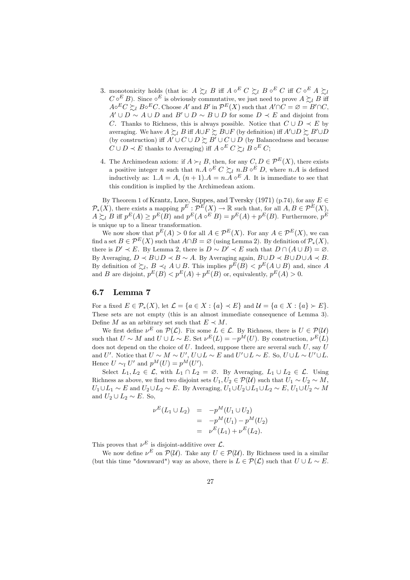- 3. monotonicity holds (that is:  $A \succsim_l B$  iff  $A \circ^E C \succsim_l B \circ^E C$  iff  $C \circ^E A \succsim_l I$  $C \circ^E B$ ). Since  $O^E$  is obviously commutative, we just need to prove  $A \gtrsim_l B$  iff  $A \circ ^E C \succsim_l B \circ ^E C$ . Choose  $A'$  and  $B'$  in  $\mathcal{P}^E(X)$  such that  $A' \cap C = \varnothing = B' \cap C$ ,  $A' \cup D \sim A \cup D$  and  $B' \cup D \sim B \cup D$  for some  $D \prec E$  and disjoint from C. Thanks to Richness, this is always possible. Notice that  $C \cup D \prec E$  by averaging. We have  $A \succsim_{\iota} B$  iff  $A \cup F \succsim_{\iota} B \cup F$  (by definition) iff  $A' \cup D \succsim_{\iota} B' \cup D$ (by construction) iff  $A' \cup C \cup D \succsim B' \cup C \cup D$  (by Balancedness and because  $C \cup D \prec E$  thanks to Averaging) iff  $A \circ^{E} C \succeq_{I} B \circ^{E} C$ ;
- 4. The Archimedean axiom: if  $A \succ_l B$ , then, for any  $C, D \in \mathcal{P}^E(X)$ , there exists a positive integer *n* such that  $n.A \circ^E C \succsim_{l} n.B \circ^E D$ , where  $n.A$  is defined inductively as:  $1.A = A$ ,  $(n + 1).A = n.A o^{E} A$ . It is immediate to see that this condition is implied by the Archimedean axiom.

By Theorem 1 of Krantz, Luce, Suppes, and Tversky (1971) (p.74), for any  $E \in$  $\mathcal{P}_*(X)$ , there exists a mapping  $p^E : \mathcal{P}^E(X) \to \mathbb{R}$  such that, for all  $A, B \in \mathcal{P}^E(X)$ ,  $A \succsim_l B$  iff  $p^E(A) \geq p^E(B)$  and  $p^E(A \circ^E B) = p^E(A) + p^E(B)$ . Furthermore,  $p^E(A)$ is unique up to a linear transformation.

We now show that  $p^{E}(A) > 0$  for all  $A \in \mathcal{P}^{E}(X)$ . For any  $A \in \mathcal{P}^{E}(X)$ , we can find a set  $B \in \mathcal{P}^{E}(X)$  such that  $A \cap B = \varnothing$  (using Lemma 2). By definition of  $\mathcal{P}_*(X)$ , there is  $D' \prec E$ . By Lemma 2, there is  $D \sim D' \prec E$  such that  $D \cap (A \cup B) = \emptyset$ . By Averaging,  $D \prec B \cup D \prec B \sim A$ . By Averaging again,  $B \cup D \prec B \cup D \cup A \prec B$ . By definition of  $\succsim_l$ ,  $B \prec_l A \cup B$ . This implies  $p^E(B) < p^E(A \cup B)$  and, since A and B are disjoint,  $p^E(B) < p^E(A) + p^E(B)$  or, equivalently,  $p^E(A) > 0$ .

#### 6.7 Lemma 7

For a fixed  $E \in \mathcal{P}_*(X)$ , let  $\mathcal{L} = \{a \in X : \{a\} \prec E\}$  and  $\mathcal{U} = \{a \in X : \{a\} \succ E\}$ . These sets are not empty (this is an almost immediate consequence of Lemma 3). Define M as an arbitrary set such that  $E \prec M$ .

We first define  $\nu^E$  on  $\mathcal{P}(\mathcal{L})$ . Fix some  $L \in \mathcal{L}$ . By Richness, there is  $U \in \mathcal{P}(\mathcal{U})$ such that  $U \sim M$  and  $U \cup L \sim E$ . Set  $\nu^{E}(L) = -p^{M}(U)$ . By construction,  $\nu^{E}(L)$ does not depend on the choice of  $U$ . Indeed, suppose there are several such  $U$ , say  $U$ and U'. Notice that  $U \sim M \sim U'$ ,  $U \cup L \sim E$  and  $U' \cup L \sim E$ . So,  $U \cup L \sim U' \cup L$ . Hence  $U \sim_l U'$  and  $p^M(U) = p^M(U').$ 

Select  $L_1, L_2 \in \mathcal{L}$ , with  $L_1 \cap L_2 = \emptyset$ . By Averaging,  $L_1 \cup L_2 \in \mathcal{L}$ . Using Richness as above, we find two disjoint sets  $U_1, U_2 \in \mathcal{P}(\mathcal{U})$  such that  $U_1 \sim U_2 \sim M$ ,  $U_1 \cup L_1 \sim E$  and  $U_2 \cup L_2 \sim E$ . By Averaging,  $U_1 \cup U_2 \cup L_1 \cup L_2 \sim E$ ,  $U_1 \cup U_2 \sim M$ and  $U_2 \cup L_2 \sim E$ . So,

$$
\nu^{E}(L_1 \cup L_2) = -p^{M}(U_1 \cup U_2)
$$
  
=  $-p^{M}(U_1) - p^{M}(U_2)$   
=  $\nu^{E}(L_1) + \nu^{E}(L_2)$ .

This proves that  $\nu^E$  is disjoint-additive over  $\mathcal{L}$ .

We now define  $\nu^E$  on  $\mathcal{P}(\mathcal{U})$ . Take any  $U \in \mathcal{P}(\mathcal{U})$ . By Richness used in a similar (but this time "downward") way as above, there is  $L \in \mathcal{P}(\mathcal{L})$  such that  $U \cup L \sim E$ .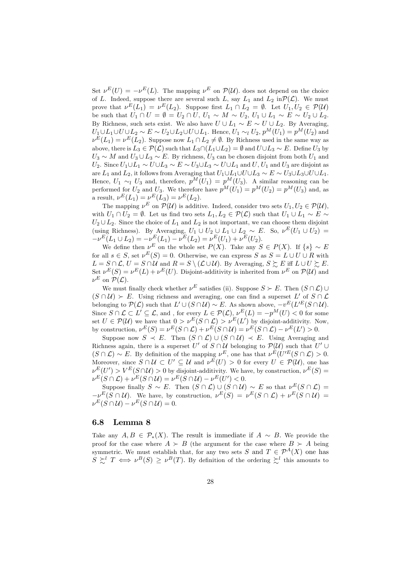Set  $\nu^{E}(U) = -\nu^{E}(L)$ . The mapping  $\nu^{E}$  on  $\mathcal{P}(\mathcal{U})$ , does not depend on the choice of L. Indeed, suppose there are several such L, say  $L_1$  and  $L_2$  in  $\mathcal{P}(\mathcal{L})$ . We must prove that  $\nu^{E}(L_1) = \nu^{E}(L_2)$ . Suppose first  $L_1 \cap L_2 = \emptyset$ . Let  $U_1, U_2 \in \mathcal{P}(\mathcal{U})$ be such that  $U_1 \cap U = \emptyset = U_2 \cap U$ ,  $U_1 \sim M \sim U_2$ ,  $U_1 \cup L_1 \sim E \sim U_2 \cup L_2$ . By Richness, such sets exist. We also have  $U \cup L_1 \sim E \sim U \cup L_2$ . By Averaging,  $U_1 \cup L_1 \cup U \cup L_2 \sim E \sim U_2 \cup L_2 \cup U \cup L_1$ . Hence,  $U_1 \sim_l U_2$ ,  $p^M(U_1) = p^M(U_2)$  and  $\nu^{E}(L_1) = \nu^{E}(L_2)$ . Suppose now  $L_1 \cap L_2 \neq \emptyset$ . By Richness used in the same way as above, there is  $L_3 \in \mathcal{P}(\mathcal{L})$  such that  $L_3 \cap (L_1 \cup L_2) = \emptyset$  and  $U \cup L_3 \sim E$ . Define  $U_3$  by  $U_3 \sim M$  and  $U_3 \cup L_3 \sim E$ . By richness,  $U_3$  can be chosen disjoint from both  $U_1$  and  $U_2$ . Since  $U_1 \cup L_1 \sim U \cup L_3 \sim E \sim U_3 \cup L_3 \sim U \cup L_1$  and  $U, U_1$  and  $U_3$  are disjoint as are  $L_1$  and  $L_2$ , it follows from Averaging that  $U_1 \cup L_1 \cup U \cup L_3 \sim E \sim U_3 \cup L_3 \cup U \cup L_1$ . Hence,  $U_1 \sim_l U_3$  and, therefore,  $p^M(U_1) = p^M(U_3)$ . A similar reasoning can be performed for  $U_2$  and  $U_3$ . We therefore have  $p^M(U_1) = p^M(U_2) = p^M(U_3)$  and, as a result,  $\nu^{E}(L_1) = \nu^{E}(L_3) = \nu^{E}(L_2).$ 

The mapping  $\nu^E$  on  $\mathcal{P}(\mathcal{U})$  is additive. Indeed, consider two sets  $U_1, U_2 \in \mathcal{P}(\mathcal{U})$ , with  $U_1 \cap U_2 = \emptyset$ . Let us find two sets  $L_1, L_2 \in \mathcal{P}(\mathcal{L})$  such that  $U_1 \cup L_1 \sim E \sim$  $U_2 \cup L_2$ . Since the choice of  $L_1$  and  $L_2$  is not important, we can choose them disjoint (using Richness). By Averaging,  $U_1 \cup U_2 \cup L_1 \cup L_2 \sim E$ . So,  $\nu^{E}(U_1 \cup U_2)$  =  $-\nu^{E}(L_1 \cup L_2) = -\nu^{E}(L_1) - \nu^{E}(L_2) = \nu^{E}(U_1) + \nu^{E}(U_2).$ 

We define then  $\nu^E$  on the whole set  $P(X)$ . Take any  $S \in P(X)$ . If  $\{s\} \sim E$ for all  $s \in S$ , set  $\nu^{E}(S)=0$ . Otherwise, we can express  $S$  as  $S = L \cup U \cup R$  with  $L = S \cap \mathcal{L}, U = S \cap \mathcal{U}$  and  $R = S \setminus (\mathcal{L} \cup \mathcal{U})$ . By Averaging,  $S \succsim E$  iff  $L \cup U \succsim E$ . Set  $\nu^E(S) = \nu^E(L) + \nu^E(U)$ . Disjoint-additivity is inherited from  $\nu^E$  on  $\mathcal{P}(\mathcal{U})$  and  $\nu^E$  on  $\mathcal{P}(\mathcal{L})$ .

We must finally check whether  $\nu^E$  satisfies (ii). Suppose  $S \succ E$ . Then  $(S \cap \mathcal{L}) \cup$  $(S \cap U) \succ E$ . Using richness and averaging, one can find a superset L' of  $S \cap L$ belonging to  $\mathcal{P}(\mathcal{L})$  such that  $L' \cup (S \cap \mathcal{U}) \sim E$ . As shown above,  $-v^E(L'^E(S \cap \mathcal{U}))$ . Since  $S \cap \mathcal{L} \subset L' \subseteq \mathcal{L}$ , and, for every  $L \in \mathcal{P}(\mathcal{L}), \nu^E(L) = -p^M(U) < 0$  for some set  $U \in \mathcal{P}(\mathcal{U})$  we have that  $0 > \nu^E(S \cap \mathcal{L}) > \nu^E(L')$  by disjoint-additivity. Now, by construction,  $\nu^E(S) = \nu^E(S \cap \mathcal{L}) + \nu^E(S \cap \mathcal{U}) = \nu^E(S \cap \mathcal{L}) - \nu^E(L') > 0.$ 

Suppose now  $S \prec E$ . Then  $(S \cap L) \cup (S \cap U) \prec E$ . Using Averaging and Richness again, there is a superset U' of  $S \cap U$  belonging to  $\mathcal{P}(U)$  such that U'  $\cup$  $(S \cap \mathcal{L}) \sim E$ . By definition of the mapping  $\nu^E$ , one has that  $\nu^{\hat{E}}(U'^E(S \cap \mathcal{L}) > 0$ . Moreover, since  $S \cap U \subset U' \subseteq U$  and  $\nu^{E}(U) > 0$  for every  $U \in \mathcal{P}(U)$ , one has  $\nu^E(U') > V^E(S \cap \mathcal{U}) > 0$  by disjoint-additivity. We have, by construction,  $\nu^E(S) =$  $\nu^E(S \cap \mathcal{L}) + \nu^E(S \cap \mathcal{U}) = \nu^E(S \cap \mathcal{U}) - \nu^E(U') < 0.$ 

Suppose finally  $S \sim E$ . Then  $(S \cap \mathcal{L}) \cup (S \cap \mathcal{U}) \sim E$  so that  $\nu^{E}(S \cap \mathcal{L}) =$  $-\nu^{E}(S \cap U)$ . We have, by construction,  $\nu^{E}(S) = \nu^{E}(S \cap L) + \nu^{E}(S \cap U) =$  $\nu^{E}(S \cap \mathcal{U}) - \nu^{E}(S \cap \mathcal{U})=0.$ 

#### 6.8 Lemma 8

Take any  $A, B \in \mathcal{P}_*(X)$ . The result is immediate if  $A \sim B$ . We provide the proof for the case where  $A \succ B$  (the argument for the case where  $B \succ A$  being symmetric. We must establish that, for any two sets S and  $T \in \mathcal{P}^{A}(X)$  one has  $S \succeq^{l} T \Leftrightarrow \nu^{B}(S) \geq \nu^{B}(T)$ . By definition of the ordering  $\succeq^{l}$  this amounts to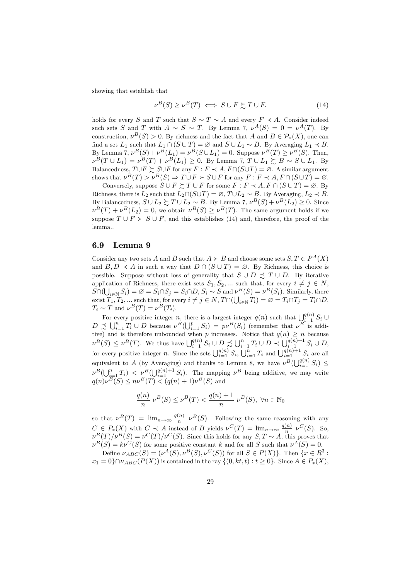showing that establish that

$$
\nu^{B}(S) \ge \nu^{B}(T) \iff S \cup F \succsim T \cup F. \tag{14}
$$

holds for every S and T such that  $S \sim T \sim A$  and every  $F \prec A$ . Consider indeed such sets S and T with  $A \sim S \sim T$ . By Lemma 7,  $\nu^{A}(S) = 0 = \nu^{A}(T)$ . By construction,  $\nu^{B}(S) > 0$ . By richness and the fact that A and  $B \in \mathcal{P}_{*}(X)$ , one can find a set  $L_1$  such that  $L_1 \cap (S \cup T) = \emptyset$  and  $S \cup L_1 \sim B$ . By Averaging  $L_1 \prec B$ . By Lemma 7,  $\nu^B(S) + \nu^B(L_1) = \nu^B(S \cup L_1) = 0$ . Suppose  $\nu^B(T) \ge \nu^B(S)$ . Then,  $\nu^B(T \cup L_1) = \nu^B(T) + \nu^B(L_1) \geq 0$ . By Lemma 7,  $T \cup L_1 \succsim B \sim S \cup L_1$ . By Balancedness,  $T \cup F \succsim S \cup F$  for any  $F : F \prec A$ ,  $F \cap (S \cup T) = \emptyset$ . A similar argument shows that  $\nu^{B}(T) > \nu^{B}(S) \Rightarrow T \cup F \succ S \cup F$  for any  $F : F \prec A, F \cap (S \cup T) = \emptyset$ .

Conversely, suppose  $S \cup F \succsim T \cup F$  for some  $F : F \prec A, F \cap (S \cup T) = \emptyset$ . By Richness, there is  $L_2$  such that  $L_2 \cap (S \cup T) = \emptyset$ ,  $T \cup L_2 \sim B$ . By Averaging,  $L_2 \prec B$ . By Balancedness,  $S \cup L_2 \succsim T \cup L_2 \sim B$ . By Lemma 7,  $\nu^B(S) + \nu^B(L_2) \geq 0$ . Since  $\nu^B(T) + \nu^B(L_2) = 0$ , we obtain  $\nu^B(S) \geq \nu^B(T)$ . The same argument holds if we suppose  $T \cup F \succ S \cup F$ , and this establishes (14) and, therefore, the proof of the lemma..

#### 6.9 Lemma 9

Consider any two sets A and B such that  $A \succ B$  and choose some sets  $S, T \in P^A(X)$ and  $B, D \prec A$  in such a way that  $D \cap (S \cup T) = \emptyset$ . By Richness, this choice is possible. Suppose without loss of generality that  $S \cup D \precsim T \cup D$ . By iterative application of Richness, there exist sets  $S_1, S_2, \dots$  such that, for every  $i \neq j \in N$ ,  $S \cap (\bigcup_{i \in \mathbb{N}} S_i) = \varnothing = S_i \cap S_j = S_i \cap D, S_i \sim S$  and  $\nu^B(S) = \nu^B(S_i)$ . Similarly, there exist  $T_1, T_2, ...$  such that, for every  $i \neq j \in N$ ,  $T \cap (\bigcup_{i \in \mathbb{N}} T_i) = \varnothing = T_i \cap T_j = T_i \cap D$ ,  $T_i \sim T$  and  $\nu^B(T) = \nu^B(T_i).$ 

For every positive integer n, there is a largest integer  $q(n)$  such that  $\bigcup_{n=1}^{q(n)} S_i \cup$  $D \precsim \bigcup_{i=1}^n T_i \cup D$  because  $\nu^B(\bigcup_{i=1}^p S_i) = p\nu^B(S_i)$  (remember that  $\nu^B$  is additive) and is therefore unbounded when p increases. Notice that  $q(n) \geq n$  because  $\nu^B(S) \leq \nu^B(T)$ . We thus have  $\bigcup_{i=1}^{q(n)} S_i \cup D \precsim \bigcup_{i=1}^n T_i \cup D \prec \bigcup_{i=1}^{q(n)+1} S_i \cup D$ , for every positive integer *n*. Since the sets  $\bigcup_{i=1}^{q(n)} S_i$ ,  $\bigcup_{i=1}^{n} T_i$  and  $\bigcup_{i=1}^{q(n)+1} S_i$  are all equivalent to A (by Averaging) and thanks to Lemma 8, we have  $\nu^B(\bigcup_{i=1}^{q(n)} S_i) \leq$  $\nu^B(\bigcup_{i=1}^n T_i) < \nu^B(\bigcup_{i=1}^{q(n)+1} S_i)$ . The mapping  $\nu^B$  being additive, we may write  $q(n)\nu^{B}(S) \leq n\nu^{B}(T) < (q(n) + 1)\nu^{B}(S)$  and

$$
\frac{q(n)}{n} \nu^{B}(S) \leq \nu^{B}(T) < \frac{q(n)+1}{n} \nu^{B}(S), \ \forall n \in \mathbb{N}_0
$$

so that  $\nu^B(T) = \lim_{n \to \infty} \frac{q(n)}{n} \nu^B(S)$ . Following the same reasoning with any  $C \in P_*(X)$  with  $C \prec A$  instead of B yields  $\nu^C(T) = \lim_{n \to \infty} \frac{q(n)}{n} \nu^C(S)$ . So,  $(\nu^B(T)/\nu^B(S) = \nu^C(T)/\nu^C(S)$ . Since this holds for any  $S, T \sim A$ , this proves that  $\nu^B(S) = k\nu^C(S)$  for some positive constant k and for all S such that  $\nu^A(S) = 0$ .

Define  $\nu_{ABC}(S)=(\nu^{A}(S), \nu^{B}(S), \nu^{C}(S))$  for all  $S \in P(X)$ . Then  $\{x \in R^{3}:$  $x_1 = 0$ } $\cap \nu_{ABC}(P(X))$  is contained in the ray  $\{(0,kt,t) : t \geq 0\}$ . Since  $A \in P_*(X)$ ,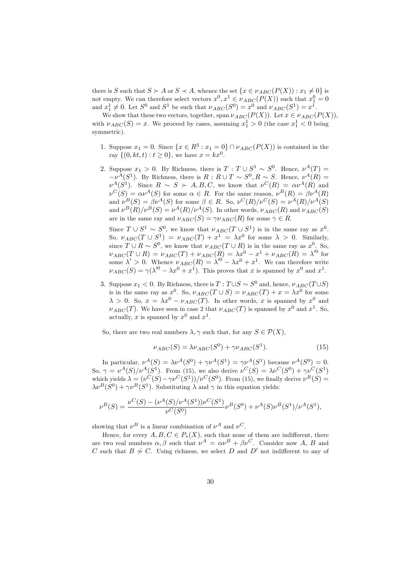there is S such that  $S \succ A$  or  $S \prec A$ , whence the set  $\{x \in \nu_{ABC}(P(X)) : x_1 \neq 0\}$  is not empty. We can therefore select vectors  $x^0, x^1 \in \nu_{ABC}(P(X))$  such that  $x_1^0 = 0$ and  $x_1^1 \neq 0$ . Let  $S^0$  and  $S^1$  be such that  $\nu_{ABC}(S^0) = x^0$  and  $\nu_{ABC}(S^1) = x^1$ .

We show that these two vectors, together, span  $\nu_{ABC}(P(X))$ . Let  $x \in \nu_{ABC}(P(X))$ , with  $\nu_{ABC}(S) = x$ . We proceed by cases, assuming  $x_1^1 > 0$  (the case  $x_1^1 < 0$  being symmetric).

- 1. Suppose  $x_1 = 0$ . Since  $\{x \in \mathbb{R}^3 : x_1 = 0\} \cap \nu_{ABC}(P(X))$  is contained in the ray  $\{(0, kt, t) : t > 0\}$ , we have  $x = kx^0$ .
- 2. Suppose  $x_1 > 0$ . By Richness, there is  $T : T \cup S^1 \sim S^0$ . Hence,  $\nu^A(T) =$  $-\nu^A(S^1)$ . By Richness, there is  $R: R \cup T \sim S^0, R \sim S$ . Hence,  $\nu^A(R)$  =  $\nu^{A}(\hat{S}^{1})$ . Since  $R \sim S \succ A, B, C$ , we know that  $\nu^{C}(R) = \alpha \nu^{A}(\hat{R})$  and  $\nu^{C}(S) = \alpha \nu^{A}(S)$  for some  $\alpha \in R$ . For the same reason,  $\nu^{B}(R) = \beta \nu^{A}(R)$ and  $\nu^B(S) = \beta \nu^A(S)$  for some  $\beta \in R$ . So,  $\nu^C(R)/\nu^C(S) = \nu^A(R)/\nu^A(S)$ and  $\nu^B(R)/\nu^B(S) = \nu^A(R)/\nu^A(S)$ . In other words,  $\nu_{ABC}(R)$  and  $\nu_{ABC}(S)$ are in the same ray and  $\nu_{ABC}(S) = \gamma \nu_{ABC}(R)$  for some  $\gamma \in R$ .

Since  $T \cup S^1 \sim S^0$ , we know that  $\nu_{ABC}(T \cup S^1)$  is in the same ray as  $x^0$ . So,  $\nu_{ABC}(T \cup S^1) = \nu_{ABC}(T) + x^1 = \lambda x^0$  for some  $\lambda > 0$ . Similarly, since  $T \cup R \sim S^0$ , we know that  $\nu_{ABC}(T \cup R)$  is in the same ray as  $x^0$ . So,  $\nu_{ABC}(T \cup R) = \nu_{ABC}(T) + \nu_{ABC}(R) = \lambda x^0 - x^1 + \nu_{ABC}(R) = \lambda'^0$  for some  $\lambda' > 0$ . Whence  $\nu_{ABC}(R) = \lambda'^0 - \lambda x^0 + x^1$ . We can therefore write  $\nu_{ABC}(S) = \gamma(\lambda^{\prime 0} - \lambda x^0 + x^1)$ . This proves that x is spanned by  $x^0$  and  $x^1$ .

3. Suppose  $x_1 < 0$ . By Richness, there is  $T : T \cup S \sim S^0$  and, hence,  $\nu_{ABC}(T \cup S)$ is in the same ray as  $x^0$ . So,  $\nu_{ABC}(T \cup S) = \nu_{ABC}(T) + x = \lambda x^0$  for some  $\lambda > 0$ . So,  $x = \lambda x^{0} - \nu_{ABC}(T)$ . In other words, x is spanned by  $x^{0}$  and  $\nu_{ABC}(T)$ . We have seen in case 2 that  $\nu_{ABC}(T)$  is spanned by  $x^0$  and  $x^1$ . So, actually, x is spanned by  $x^0$  and  $x^1$ .

So, there are two real numbers  $\lambda, \gamma$  such that, for any  $S \in \mathcal{P}(X)$ ,

$$
\nu_{ABC}(S) = \lambda \nu_{ABC}(S^0) + \gamma \nu_{ABC}(S^1). \tag{15}
$$

In particular,  $\nu^{A}(S) = \lambda \nu^{A}(S^{0}) + \gamma \nu^{A}(S^{1}) = \gamma \nu^{A}(S^{1})$  because  $\nu^{A}(S^{0})=0$ . So,  $\gamma = \nu^A(S)/\nu^A(S^1)$ . From (15), we also derive  $\nu^C(S) = \lambda \nu^C(S^0) + \gamma \nu^C(S^1)$ which yields  $\lambda = (\nu^C(S) - \gamma \nu^C(S^1))/\nu^C(S^0)$ . From (15), we finally derive  $\nu^B(\mathcal{S}) =$  $\lambda \nu^{B}(S^{0}) + \gamma \nu^{B}(S^{1})$ . Substituting  $\lambda$  and  $\gamma$  in this equation yields:

$$
\nu^{B}(S) = \frac{\nu^{C}(S) - (\nu^{A}(S)/\nu^{A}(S^{1}))\nu^{C}(S^{1})}{\nu^{C}(S^{0})}\nu^{B}(S^{0}) + \nu^{A}(S)\nu^{B}(S^{1})/\nu^{A}(S^{1}),
$$

showing that  $\nu^B$  is a linear combination of  $\nu^A$  and  $\nu^C$ .

Hence, for every  $A, B, C \in P_*(X)$ , such that none of them are indifferent, there are two real numbers  $\alpha, \beta$  such that  $\nu^{A} = \alpha \nu^{B} + \beta \nu^{C}$ . Consider now A, B and C such that  $B \not\sim C$ . Using richness, we select D and D' not indifferent to any of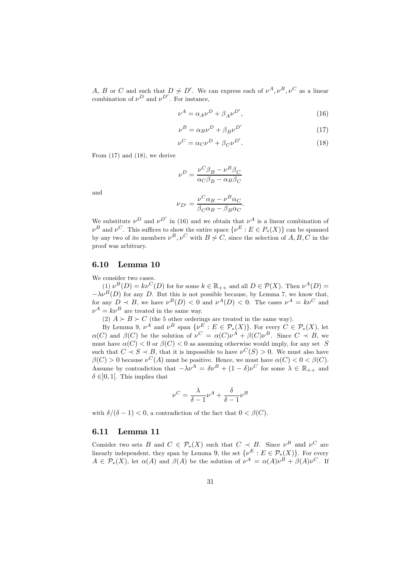A, B or C and such that  $D \nsim D'$ . We can express each of  $\nu^A, \nu^B, \nu^C$  as a linear combination of  $\nu^D$  and  $\nu^{D'}$ . For instance,

$$
\nu^A = \alpha_A \nu^D + \beta_A \nu^{D'},\tag{16}
$$

$$
\nu^B = \alpha_B \nu^D + \beta_B \nu^{D'} \tag{17}
$$

$$
\nu^C = \alpha_C \nu^D + \beta_C \nu^{D'}.
$$
\n(18)

From (17) and (18), we derive

$$
\nu^D = \frac{\nu^C \beta_B - \nu^B \beta_C}{\alpha_C \beta_B - \alpha_B \beta_C}
$$

and

$$
\nu_{D'} = \frac{\nu^C \alpha_B - \nu^B \alpha_C}{\beta_C \alpha_B - \beta_B \alpha_C}.
$$

We substitute  $\nu^D$  and  $\nu^{D'}$  in (16) and we obtain that  $\nu^A$  is a linear combination of  $\nu^B$  and  $\nu^C$ . This suffices to show the entire space  $\{\nu^E : E \in P_*(X)\}\)$  can be spanned by any two of its members  $\nu^B, \nu^C$  with  $B \not\sim C$ , since the selection of  $A, B, C$  in the proof was arbitrary.

#### 6.10 Lemma 10

We consider two cases.

(1)  $\nu^B(D) = k\nu^C(D)$  for for some  $k \in \mathbb{R}_{++}$  and all  $D \in \mathcal{P}(X)$ . Then  $\nu^A(D) =$  $-\lambda \nu^{B}(D)$  for any D. But this is not possible because, by Lemma 7, we know that, for any  $D \prec B$ , we have  $\nu^B(D) < 0$  and  $\nu^A(D) < 0$ . The cases  $\nu^A = k\nu^C$  and  $\nu^A = k\nu^B$  are treated in the same way.

(2)  $A \succ B \succ C$  (the 5 other orderings are treated in the same way).

By Lemma 9,  $\nu^A$  and  $\nu^B$  span  $\{\nu^E : E \in \mathcal{P}_*(X)\}$ . For every  $C \in \mathcal{P}_*(X)$ , let  $\alpha(C)$  and  $\beta(C)$  be the solution of  $\nu^C = \alpha(C)\nu^A + \beta(C)\nu^B$ . Since  $C \prec B$ , we must have  $\alpha(C) < 0$  or  $\beta(C) < 0$  as assuming otherwise would imply, for any set S such that  $C \prec S \prec B$ , that it is impossible to have  $\nu^{C}(S) > 0$ . We must also have  $\beta(C) > 0$  because  $\nu^C(A)$  must be positive. Hence, we must have  $\alpha(C) < 0 < \beta(C)$ . Assume by contradiction that  $-\lambda \nu^{A} = \delta \nu^{B} + (1 - \delta) \nu^{C}$  for some  $\lambda \in \mathbb{R}_{++}$  and  $\delta \in ]0,1[$ . This implies that

$$
\nu^C = \frac{\lambda}{\delta - 1} \nu^A + \frac{\delta}{\delta - 1} \nu^B
$$

with  $\delta/(\delta - 1) < 0$ , a contradiction of the fact that  $0 < \beta(C)$ .

#### 6.11 Lemma 11

Consider two sets B and  $C \in \mathcal{P}_*(X)$  such that  $C \prec B$ . Since  $\nu^B$  and  $\nu^C$  are linearly independent, they span by Lemma 9, the set  $\{\nu^E : E \in \mathcal{P}_*(X)\}$ . For every  $A \in \mathcal{P}_*(X)$ , let  $\alpha(A)$  and  $\beta(A)$  be the solution of  $\nu^A = \alpha(A)\nu^B + \beta(A)\nu^C$ . If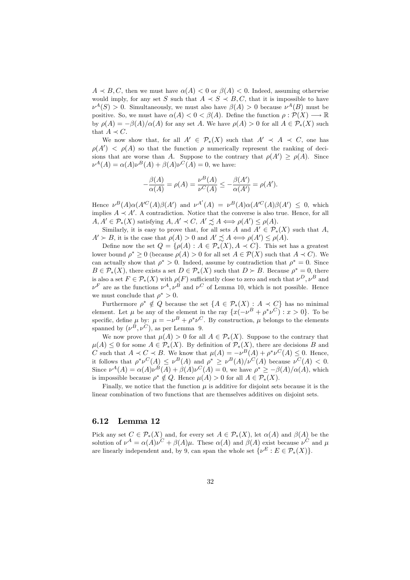$A \prec B, C$ , then we must have  $\alpha(A) < 0$  or  $\beta(A) < 0$ . Indeed, assuming otherwise would imply, for any set S such that  $A \prec S \prec B, C$ , that it is impossible to have  $\nu^{A}(S) > 0$ . Simultaneously, we must also have  $\beta(A) > 0$  because  $\nu^{A}(B)$  must be positive. So, we must have  $\alpha(A) < 0 < \beta(A)$ . Define the function  $\rho : \mathcal{P}(X) \longrightarrow \mathbb{R}$ by  $\rho(A) = -\beta(A)/\alpha(A)$  for any set A. We have  $\rho(A) > 0$  for all  $A \in \mathcal{P}_*(X)$  such that  $A \prec C$ .

We now show that, for all  $A' \in \mathcal{P}_*(X)$  such that  $A' \prec A \prec C$ , one has  $\rho(A') \leq \rho(A)$  so that the function  $\rho$  numerically represent the ranking of decisions that are worse than A. Suppose to the contrary that  $\rho(A') \geq \rho(A)$ . Since  $\nu^{A}(A) = \alpha(A)\nu^{B}(A) + \beta(A)\nu^{C}(A) = 0$ , we have:

$$
-\frac{\beta(A)}{\alpha(A)} = \rho(A) = \frac{\nu^B(A)}{\nu^C(A)} \le -\frac{\beta(A')}{\alpha(A')} = \rho(A').
$$

Hence  $\nu^B(A)\alpha(A'^C(A)\beta(A'))$  and  $\nu^{A'}(A) = \nu^B(A)\alpha(A'^C(A)\beta(A')) \leq 0$ , which implies  $A \prec A'$ . A contradiction. Notice that the converse is also true. Hence, for all  $A, A' \in \mathcal{P}_*(X)$  satisfying  $A, A' \prec C, A' \precsim A \Longleftrightarrow \rho(A') \leq \rho(A)$ .

Similarly, it is easy to prove that, for all sets A and  $A' \in \mathcal{P}_*(X)$  such that A,  $A' \succ B$ , it is the case that  $\rho(A) > 0$  and  $A' \precsim A \Longleftrightarrow \rho(A') \leq \rho(A)$ .

Define now the set  $Q = \{\rho(A) : A \in \mathcal{P}_*(X), A \prec C\}$ . This set has a greatest lower bound  $\rho^* \geq 0$  (because  $\rho(A) > 0$  for all set  $A \in \mathcal{P}(X)$  such that  $A \prec C$ ). We can actually show that  $\rho^* > 0$ . Indeed, assume by contradiction that  $\rho^* = 0$ . Since  $B \in \mathcal{P}_*(X)$ , there exists a set  $D \in \mathcal{P}_*(X)$  such that  $D \succ B$ . Because  $\rho^* = 0$ , there is also a set  $F \in \mathcal{P}_*(X)$  with  $\rho(F)$  sufficiently close to zero and such that  $\nu^D, \nu^B$  and  $\nu^F$  are as the functions  $\nu^A$ ,  $\nu^B$  and  $\nu^C$  of Lemma 10, which is not possible. Hence we must conclude that  $\rho^* > 0$ .

Furthermore  $\rho^* \notin Q$  because the set  $\{A \in \mathcal{P}_*(X) : A \prec C\}$  has no minimal element. Let  $\mu$  be any of the element in the ray  $\{x(-\nu^B + \rho^*\nu^C): x > 0\}$ . To be specific, define  $\mu$  by:  $\mu = -\nu^B + \rho^* \nu^C$ . By construction,  $\mu$  belongs to the elements spanned by  $(\nu^B, \nu^C)$ , as per Lemma 9.

We now prove that  $\mu(A) > 0$  for all  $A \in \mathcal{P}_*(X)$ . Suppose to the contrary that  $\mu(A) \leq 0$  for some  $A \in \mathcal{P}_*(X)$ . By definition of  $\mathcal{P}_*(X)$ , there are decisions B and C such that  $A \prec C \prec B$ . We know that  $\mu(A) = -\nu^B(A) + \rho^* \nu^C(A) \leq 0$ . Hence, it follows that  $\rho^* \nu^C(A) \leq \nu^B(A)$  and  $\rho^* \geq \nu^B(A)/\nu^C(A)$  because  $\nu^C(A) < 0$ . Since  $\nu^{A}(A) = \alpha(A)\nu^{B}(A) + \beta(A)\nu^{C}(A) = 0$ , we have  $\rho^{*} \geq -\beta(A)/\alpha(A)$ , which is impossible because  $\rho^* \notin Q$ . Hence  $\mu(A) > 0$  for all  $A \in \mathcal{P}_*(X)$ .

Finally, we notice that the function  $\mu$  is additive for disjoint sets because it is the linear combination of two functions that are themselves additives on disjoint sets.

#### 6.12 Lemma 12

Pick any set  $C \in \mathcal{P}_*(X)$  and, for every set  $A \in \mathcal{P}_*(X)$ , let  $\alpha(A)$  and  $\beta(A)$  be the solution of  $\nu^A = \alpha(A)\nu^C + \beta(A)\mu$ . These  $\alpha(A)$  and  $\beta(A)$  exist because  $\nu^C$  and  $\mu$ are linearly independent and, by 9, can span the whole set  $\{\nu^E : E \in \mathcal{P}_*(X)\}.$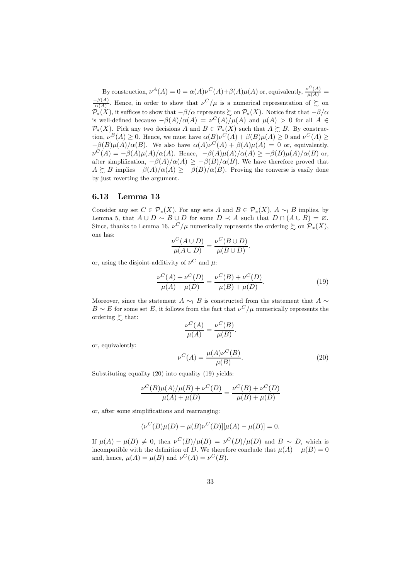By construction,  $\nu^{A}(A) = 0 = \alpha(A)\nu^{C}(A) + \beta(A)\mu(A)$  or, equivalently,  $\frac{\nu^{C}(A)}{\mu(A)} =$  $\frac{-\beta(A)}{\alpha(A)}$ . Hence, in order to show that  $\nu^C/\mu$  is a numerical representation of  $\succsim$  on  $\mathcal{P}_*(X)$ , it suffices to show that  $-\beta/\alpha$  represents  $\sum$  on  $\mathcal{P}_*(X)$ . Notice first that  $-\beta/\alpha$ is well-defined because  $-\beta(A)/\alpha(A) = \nu^{C}(A)/\mu(A)$  and  $\mu(A) > 0$  for all  $A \in \mathbb{R}$  $\mathcal{P}_*(X)$ . Pick any two decisions A and  $B \in \mathcal{P}_*(X)$  such that  $A \succeq B$ . By construction,  $\nu^B(A) \geq 0$ . Hence, we must have  $\alpha(B)\nu^C(A) + \beta(B)\mu(A) \geq 0$  and  $\nu^C(A) \geq 0$  $-\beta(B)\mu(A)/\alpha(B)$ . We also have  $\alpha(A)\nu^{C'}(A)+\beta(A)\mu(A)=0$  or, equivalently,  $\nu^C(A) = -\beta(A)\mu(A)/\alpha(A)$ . Hence,  $-\beta(A)\mu(A)/\alpha(A) \geq -\beta(B)\mu(A)/\alpha(B)$  or, after simplification,  $-\beta(A)/\alpha(A) \geq -\beta(B)/\alpha(B)$ . We have therefore proved that  $A \succeq B$  implies  $-\beta(A)/\alpha(A) \ge -\beta(B)/\alpha(B)$ . Proving the converse is easily done by just reverting the argument.

#### 6.13 Lemma 13

Consider any set  $C \in \mathcal{P}_*(X)$ . For any sets A and  $B \in \mathcal{P}_*(X)$ ,  $A \sim_l B$  implies, by Lemma 5, that  $A \cup D \sim B \cup D$  for some  $D \prec A$  such that  $D \cap (A \cup B) = \emptyset$ . Since, thanks to Lemma 16,  $\nu^{C}/\mu$  numerically represents the ordering  $\succeq$  on  $\mathcal{P}_{*}(X)$ , one has:

$$
\frac{\nu^C(A \cup D)}{\mu(A \cup D)} = \frac{\nu^C(B \cup D)}{\mu(B \cup D)}.
$$

or, using the disjoint-additivity of  $\nu^C$  and  $\mu$ .

$$
\frac{\nu^{C}(A) + \nu^{C}(D)}{\mu(A) + \mu(D)} = \frac{\nu^{C}(B) + \nu^{C}(D)}{\mu(B) + \mu(D)}.
$$
\n(19)

Moreover, since the statement  $A \sim_l B$  is constructed from the statement that  $A \sim$  $B \sim E$  for some set E, it follows from the fact that  $\nu^{C}/\mu$  numerically represents the ordering  $\succeq$  that:

$$
\frac{\nu^C(A)}{\mu(A)} = \frac{\nu^C(B)}{\mu(B)}.
$$
  

$$
\nu^C(A) = \frac{\mu(A)\nu^C(B)}{\mu(B)}
$$
 (90)

or, equivalently:

$$
\nu^C(A) = \frac{\mu(A)\nu^C(B)}{\mu(B)}.
$$
\n(20)

Substituting equality (20) into equality (19) yields:

$$
\frac{\nu^{C}(B)\mu(A)/\mu(B) + \nu^{C}(D)}{\mu(A) + \mu(D)} = \frac{\nu^{C}(B) + \nu^{C}(D)}{\mu(B) + \mu(D)}
$$

or, after some simplifications and rearranging:

$$
(\nu^{C}(B)\mu(D) - \mu(B)\nu^{C}(D)][\mu(A) - \mu(B)] = 0.
$$

If  $\mu(A) - \mu(B) \neq 0$ , then  $\nu^{C}(B)/\mu(B) = \nu^{C}(D)/\mu(D)$  and  $B \sim D$ , which is incompatible with the definition of D. We therefore conclude that  $\mu(A) - \mu(B) = 0$ and, hence,  $\mu(A) = \mu(B)$  and  $\nu^{C}(A) = \nu^{C}(B)$ .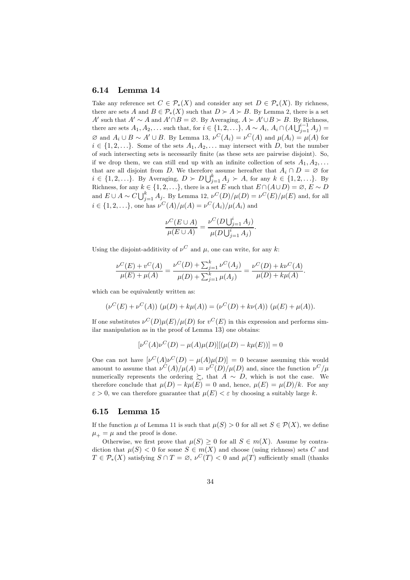#### 6.14 Lemma 14

Take any reference set  $C \in \mathcal{P}_*(X)$  and consider any set  $D \in \mathcal{P}_*(X)$ . By richness, there are sets A and  $B \in \mathcal{P}_*(X)$  such that  $D \succ A \succ B$ . By Lemma 2, there is a set  $A'$  such that  $A' \sim A$  and  $A' \cap B = \emptyset$ . By Averaging,  $A \succ A' \cup B \succ B$ . By Richness, there are sets  $A_1, A_2, ...$  such that, for  $i \in \{1, 2, ...\}$ ,  $A \sim A_i$ ,  $A_i \cap (A \bigcup_{j=1}^{i-1} A_j) =$  $\varnothing$  and  $A_i \cup B \sim A' \cup B$ . By Lemma 13,  $\nu^C(A_i) = \nu^C(A)$  and  $\mu(A_i) = \mu(A)$  for  $i \in \{1, 2, \ldots\}$ . Some of the sets  $A_1, A_2, \ldots$  may intersect with D, but the number of such intersecting sets is necessarily finite (as these sets are pairwise disjoint). So, if we drop them, we can still end up with an infinite collection of sets  $A_1, A_2, \ldots$ that are all disjoint from D. We therefore assume hereafter that  $A_i \cap D = \emptyset$  for  $i \in \{1, 2, \ldots\}$ . By Averaging,  $D \succ D \bigcup_{j=1}^{k} A_j \succ A$ , for any  $k \in \{1, 2, \ldots\}$ . By Richness, for any  $k \in \{1, 2, \ldots\}$ , there is a set  $E$  such that  $E \cap (A \cup D) = \emptyset$ ,  $E \sim D$ and  $E \cup A \sim C \bigcup_{j=1}^{k} A_j$ . By Lemma 12,  $\nu^{C}(D)/\mu(D) = \nu^{C}(E)/\mu(E)$  and, for all  $i \in \{1, 2, ...\}$ , one has  $\nu^{C}(A)/\mu(A) = \nu^{C}(A_i)/\mu(A_i)$  and

$$
\frac{\nu^C(E \cup A)}{\mu(E \cup A)} = \frac{\nu^C(D \bigcup_{j=1}^i A_j)}{\mu(D \bigcup_{j=1}^i A_j)}.
$$

Using the disjoint-additivity of  $\nu^C$  and  $\mu$ , one can write, for any k:

$$
\frac{\nu^{C}(E) + \nu^{C}(A)}{\mu(E) + \mu(A)} = \frac{\nu^{C}(D) + \sum_{j=1}^{k} \nu^{C}(A_j)}{\mu(D) + \sum_{j=1}^{k} \mu(A_j)} = \frac{\nu^{C}(D) + k\nu^{C}(A)}{\mu(D) + k\mu(A)}.
$$

which can be equivalently written as:

$$
(\nu^{C}(E) + \nu^{C}(A)) (\mu(D) + k\mu(A)) = (\nu^{C}(D) + k\nu(A)) (\mu(E) + \mu(A)).
$$

If one substitutes  $\nu^{C}(D)\mu(E)/\mu(D)$  for  $\nu^{C}(E)$  in this expression and performs similar manipulation as in the proof of Lemma 13) one obtains:

$$
[\nu^{C}(A)\nu^{C}(D) - \mu(A)\mu(D)][(\mu(D) - k\mu(E))] = 0
$$

One can not have  $[\nu^C(A)\nu^C(D) - \mu(A)\mu(D)] = 0$  because assuming this would amount to assume that  $\nu^{C}(A)/\mu(A) = \nu^{C}(D)/\mu(D)$  and, since the function  $\nu^{C}/\mu$ numerically represents the ordering  $\sum$ , that  $\overrightarrow{A} \sim \overrightarrow{D}$ , which is not the case. We therefore conclude that  $\mu(D) - k\mu(E) = 0$  and, hence,  $\mu(E) = \mu(D)/k$ . For any  $\varepsilon > 0$ , we can therefore guarantee that  $\mu(E) < \varepsilon$  by choosing a suitably large k.

#### 6.15 Lemma 15

If the function  $\mu$  of Lemma 11 is such that  $\mu(S) > 0$  for all set  $S \in \mathcal{P}(X)$ , we define  $\mu_+ = \mu$  and the proof is done.

Otherwise, we first prove that  $\mu(S) \geq 0$  for all  $S \in m(X)$ . Assume by contradiction that  $\mu(S) < 0$  for some  $S \in m(X)$  and choose (using richness) sets C and  $T \in \mathcal{P}_*(X)$  satisfying  $S \cap T = \emptyset$ ,  $\nu^C(T) < 0$  and  $\mu(T)$  sufficiently small (thanks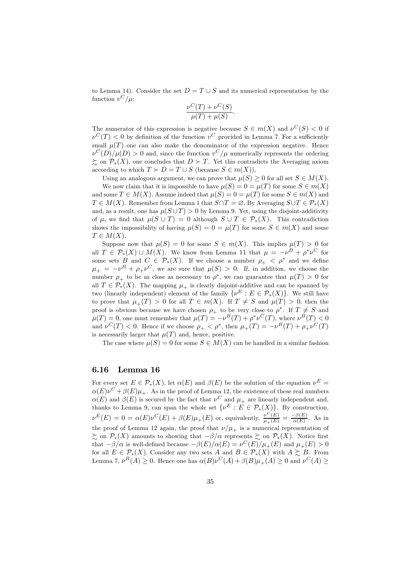to Lemma 14). Consider the set  $D = T \cup S$  and its numerical representation by the function  $v^C/\mu$ :

$$
\frac{\nu^C(T) + \nu^C(S)}{\mu(T) + \mu(S)}.
$$

The numerator of this expression is negative because  $S \in m(X)$  and  $\nu^{C}(S) < 0$  if  $\nu^{C}(T) < 0$  by definition of the function  $v^{C}$  provided in Lemma 7. For a sufficiently small  $\mu(T)$  one can also make the denominator of the expression negative. Hence  $\nu^{C}(D)/\mu(D) > 0$  and, since the function  $\nu^{C}/\mu$  numerically represents the ordering  $\sum_{k}$  on  $\mathcal{P}_*(X)$ , one concludes that  $D \succ T$ . Yet this contradicts the Averaging axiom according to which  $T \succ D = T \cup S$  (because  $S \in m(X)$ ).

Using an analogous argument, we can prove that  $\mu(S) \geq 0$  for all set  $S \in M(X)$ .

We now claim that it is impossible to have  $\mu(S)=0=\mu(T)$  for some  $S \in m(X)$ and some  $T \in M(X)$ . Assume indeed that  $\mu(S)=0=\mu(T)$  for some  $S \in m(X)$  and  $T \in M(X)$ . Remember from Lemma 1 that  $S \cap T = \emptyset$ . By Averaging  $S \cup T \in \mathcal{P}_*(X)$ and, as a result, one has  $\mu(S \cup T) > 0$  by Lemma 9. Yet, using the disjoint-additivity of  $\mu$ , we find that  $\mu(S \cup T) = 0$  although  $S \cup T \in \mathcal{P}_*(X)$ . This contradiction shows the impossibility of having  $\mu(S)=0=\mu(T)$  for some  $S \in m(X)$  and some  $T \in M(X)$ .

Suppose now that  $\mu(S)=0$  for some  $S \in m(X)$ . This implies  $\mu(T) > 0$  for all  $T \in \mathcal{P}_*(X) \cup M(X)$ . We know from Lemma 11 that  $\mu = -\nu^B + \rho^*\nu^C$  for some sets B and  $C \in \mathcal{P}_*(X)$ . If we choose a number  $\rho_+ < \rho^*$  and we define  $\mu_{+} = -\nu^{B} + \rho_{+} \nu^{C}$ , we are sure that  $\mu(S) > 0$ . If, in addition, we choose the number  $\rho_+$  to be as close as necessary to  $\rho^*$ , we can guarantee that  $\mu(T) > 0$  for all  $T \in \mathcal{P}_*(X)$ . The mapping  $\mu_+$  is clearly disjoint-additive and can be spanned by two (linearly independent) element of the family  $\{\nu^E : E \in \mathcal{P}_*(X)\}\)$ . We still have to prove that  $\mu_+(T) > 0$  for all  $T \in m(X)$ . If  $T \neq S$  and  $\mu(T) > 0$ , then the proof is obvious because we have chosen  $\rho_+$  to be very close to  $\rho^*$ . If  $T \neq S$  and  $\mu(T)=0$ , one must remember that  $\mu(T) = -\nu^{B}(T) + \rho^* \nu^{C}(T)$ , where  $\nu^{B}(T) < 0$ and  $\nu^{C}(T) < 0$ . Hence if we choose  $\rho_{+} < \rho^{*}$ , then  $\mu_{+}(T) = -\nu^{B}(T) + \rho_{+} \nu^{C}(T)$ is necessarily larger that  $\mu(T)$  and, hence, positive.

The case where  $\mu(S)=0$  for some  $S \in M(X)$  can be handled in a similar fashion

#### 6.16 Lemma 16

For every set  $E \in \mathcal{P}_*(X)$ , let  $\alpha(E)$  and  $\beta(E)$  be the solution of the equation  $\nu^E =$  $\alpha(E)\nu^C+\beta(E)\mu_+$ . As in the proof of Lemma 12, the existence of these real numbers  $\alpha(E)$  and  $\beta(E)$  is secured by the fact that  $\nu^C$  and  $\mu_+$  are linearly independent and thanks to Lemma 9, can span the whole set  $\{v^E : E \in \mathcal{P}_*(X)\}$ . By construction,  $\nu^{E}(E) = 0 = \alpha(E)\nu^{C}(E) + \beta(E)\mu_{+}(E)$  or, equivalently,  $\frac{\nu^{C}(E)}{\mu_{+}(E)} = \frac{-\beta(E)}{\alpha(E)}$ . As in the proof of Lemma 12 again, the proof that  $\nu/\mu_{+}$  is a numerical representation of  $\sum_{\alpha}$  on  $\mathcal{P}_*(X)$  amounts to showing that  $-\beta/\alpha$  represents  $\sum_{\alpha}$  on  $\mathcal{P}_*(X)$ . Notice first that  $-\beta/\alpha$  is well-defined because  $-\beta(E)/\alpha(E) = \nu^{C}(E)/\mu_{+}(E)$  and  $\mu_{+}(E) > 0$ for all  $E \in \mathcal{P}_*(X)$ . Consider any two sets A and  $B \in \mathcal{P}_*(X)$  with  $A \succeq B$ . From Lemma 7,  $\nu^B(A) \geq 0$ . Hence one has  $\alpha(B)\nu^C(A) + \beta(B)\mu_+(A) \geq 0$  and  $\nu^C(A) \geq 0$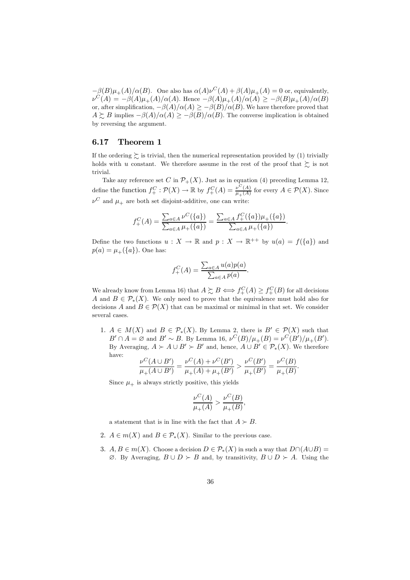$-\beta(B)\mu_+(A)/\alpha(B)$ . One also has  $\alpha(A)\nu^C(A)+\beta(A)\mu_+(A)=0$  or, equivalently,  $\nu^{C}(A) = -\beta(A)\mu_{+}(A)/\alpha(A)$ . Hence  $-\beta(A)\mu_{+}(A)/\alpha(A) \geq -\beta(B)\mu_{+}(A)/\alpha(B)$ or, after simplification,  $-\beta(A)/\alpha(A) \geq -\beta(B)/\alpha(B)$ . We have therefore proved that  $A \succeq B$  implies  $-\beta(A)/\alpha(A) \ge -\beta(B)/\alpha(B)$ . The converse implication is obtained by reversing the argument.

#### 6.17 Theorem 1

If the ordering  $\geq$  is trivial, then the numerical representation provided by (1) trivially holds with u constant. We therefore assume in the rest of the proof that  $\succeq$  is not trivial.

Take any reference set C in  $\mathcal{P}_+(X)$ . Just as in equation (4) preceding Lemma 12, define the function  $f_+^C : \mathcal{P}(X) \to \mathbb{R}$  by  $f_+^C(A) = \frac{\nu^C(A)}{\mu_+(A)}$  for every  $A \in \mathcal{P}(X)$ . Since  $\nu^C$  and  $\mu_+$  are both set disjoint-additive, one can write:

$$
f_{+}^{C}(A) = \frac{\sum_{a \in A} \nu^{C}(\{a\})}{\sum_{a \in A} \mu_{+}(\{a\})} = \frac{\sum_{a \in A} f_{+}^{C}(\{a\})\mu_{+}(\{a\})}{\sum_{a \in A} \mu_{+}(\{a\})}.
$$

Define the two functions  $u : X \to \mathbb{R}$  and  $p : X \to \mathbb{R}^{++}$  by  $u(a) = f({a})$  and  $p(a) = \mu_{+}(\{a\})$ . One has:

$$
f_+^C(A) = \frac{\sum_{a \in A} u(a)p(a)}{\sum_{a \in A} p(a)}.
$$

We already know from Lemma 16) that  $A \succeq B \Longleftrightarrow f_+^C(A) \geq f_+^C(B)$  for all decisions A and  $B \in \mathcal{P}_*(X)$ . We only need to prove that the equivalence must hold also for decisions A and  $B \in \mathcal{P}(X)$  that can be maximal or minimal in that set. We consider several cases.

1.  $A \in M(X)$  and  $B \in \mathcal{P}_*(X)$ . By Lemma 2, there is  $B' \in \mathcal{P}(X)$  such that  $B' \cap A = \varnothing$  and  $B' \sim B$ . By Lemma 16,  $\nu^C(B)/\mu_+(B) = \nu^C(B')/\mu_+(B').$ By Averaging,  $A \succ A \cup B' \succ B'$  and, hence,  $A \cup B' \in \mathcal{P}_*(X)$ . We therefore have:

$$
\frac{\nu^C(A\cup B')}{\mu_+(A\cup B')} = \frac{\nu^C(A) + \nu^C(B')}{\mu_+(A) + \mu_+(B')} > \frac{\nu^C(B')}{\mu_+(B')} = \frac{\nu^C(B)}{\mu_+(B)}
$$

 $\ddot{\phantom{0}}$ 

Since  $\mu_+$  is always strictly positive, this yields

$$
\frac{\nu^{C}(A)}{\mu_{+}(A)} > \frac{\nu^{C}(B)}{\mu_{+}(B)},
$$

a statement that is in line with the fact that  $A \succ B$ .

- 2.  $A \in m(X)$  and  $B \in \mathcal{P}_*(X)$ . Similar to the previous case.
- 3.  $A, B \in m(X)$ . Choose a decision  $D \in \mathcal{P}_*(X)$  in such a way that  $D \cap (A \cup B) =$  $\emptyset$ . By Averaging,  $B \cup D \succ B$  and, by transitivity,  $B \cup D \succ A$ . Using the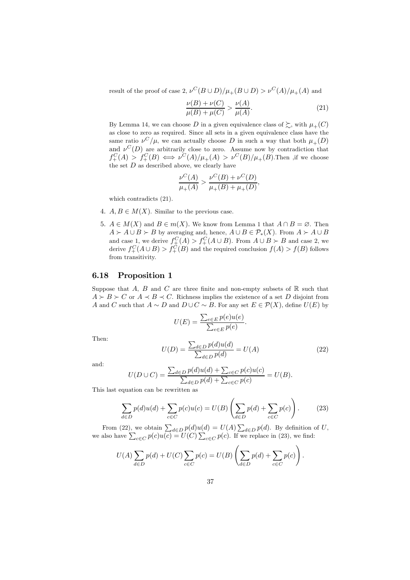result of the proof of case 2,  $\nu^C(B\cup D)/\mu_+(B\cup D) > \nu^C(A)/\mu_+(A)$  and

$$
\frac{\nu(B) + \nu(C)}{\mu(B) + \mu(C)} > \frac{\nu(A)}{\mu(A)}.
$$
\n(21)

By Lemma 14, we can choose D in a given equivalence class of  $\succsim$ , with  $\mu_+(C)$ as close to zero as required. Since all sets in a given equivalence class have the same ratio  $\nu^C/\mu$ , we can actually choose D in such a way that both  $\mu_+(D)$ and  $\nu^C(D)$  are arbitrarily close to zero. Assume now by contradiction that  $f_+^C(A) > f_+^C(B) \iff \nu^C(A)/\mu_+(A) > \nu^C(B)/\mu_+(B)$ . Then , if we choose the set  $D$  as described above, we clearly have

$$
\frac{\nu^C(A)}{\mu_+(A)} > \frac{\nu^C(B) + \nu^C(D)}{\mu_+(B) + \mu_+(D)},
$$

which contradicts (21).

- 4.  $A, B \in M(X)$ . Similar to the previous case.
- 5.  $A \in M(X)$  and  $B \in m(X)$ . We know from Lemma 1 that  $A \cap B = \emptyset$ . Then  $A \succ A \cup B \succ B$  by averaging and, hence,  $A \cup B \in \mathcal{P}_*(X)$ . From  $A \succ A \cup B$ and case 1, we derive  $f_+^C(A) > f_+^C(A \cup B)$ . From  $A \cup B \succ B$  and case 2, we derive  $f_+^C(A \cup B) > f_+^C(B)$  and the required conclusion  $f(A) > f(B)$  follows from transitivity.

#### 6.18 Proposition 1

Suppose that A, B and C are three finite and non-empty subsets of  $\mathbb R$  such that  $A \succ B \succ C$  or  $A \prec B \prec C$ . Richness implies the existence of a set D disjoint from A and C such that  $A \sim D$  and  $D \cup C \sim B$ . For any set  $E \in \mathcal{P}(X)$ , define  $U(E)$  by

$$
U(E) = \frac{\sum_{e \in E} p(e)u(e)}{\sum_{e \in E} p(e)}.
$$

Then:

$$
U(D) = \frac{\sum_{d \in D} p(d)u(d)}{\sum_{d \in D} p(d)} = U(A)
$$
\n(22)

and:

$$
U(D \cup C) = \frac{\sum_{d \in D} p(d)u(d) + \sum_{c \in C} p(c)u(c)}{\sum_{d \in D} p(d) + \sum_{c \in C} p(c)} = U(B).
$$

This last equation can be rewritten as

$$
\sum_{d \in D} p(d)u(d) + \sum_{c \in C} p(c)u(c) = U(B) \left( \sum_{d \in D} p(d) + \sum_{c \in C} p(c) \right). \tag{23}
$$

From (22), we obtain  $\sum_{d \in D} p(d)u(d) = U(A) \sum_{d \in D} p(d)$ . By definition of U, we also have  $\sum_{c \in C} p(c)u(c) = U(C) \sum_{c \in C} p(c)$ . If we replace in (23), we find:

$$
U(A) \sum_{d \in D} p(d) + U(C) \sum_{c \in C} p(c) = U(B) \left( \sum_{d \in D} p(d) + \sum_{c \in C} p(c) \right).
$$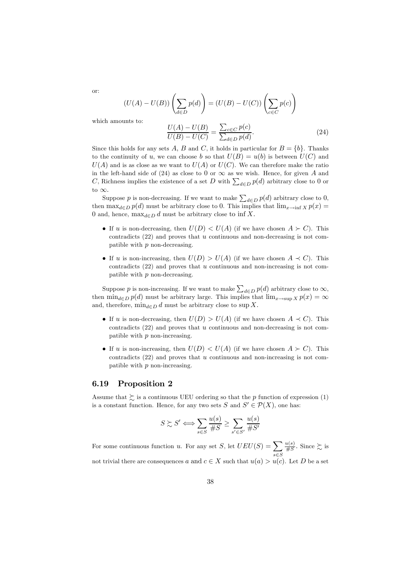$$
(U(A) - U(B)) \left( \sum_{d \in D} p(d) \right) = (U(B) - U(C)) \left( \sum_{c \in C} p(c) \right)
$$

which amounts to:

$$
\frac{U(A) - U(B)}{U(B) - U(C)} = \frac{\sum_{c \in C} p(c)}{\sum_{d \in D} p(d)}.
$$
\n(24)

Since this holds for any sets A, B and C, it holds in particular for  $B = \{b\}$ . Thanks to the continuity of u, we can choose b so that  $U(B) = u(b)$  is between  $U(C)$  and  $U(A)$  and is as close as we want to  $U(A)$  or  $U(C)$ . We can therefore make the ratio in the left-hand side of (24) as close to 0 or  $\infty$  as we wish. Hence, for given A and C, Richness implies the existence of a set D with  $\sum_{d \in D} p(d)$  arbitrary close to 0 or to  $\infty$ .

Suppose p is non-decreasing. If we want to make  $\sum_{d \in D} p(d)$  arbitrary close to 0, then max<sub>d</sub> $\epsilon_D$  p(d) must be arbitrary close to 0. This implies that  $\lim_{x\to \inf X} p(x) =$ 0 and, hence,  $\max_{d \in D} d$  must be arbitrary close to inf X.

- If u is non-decreasing, then  $U(D) < U(A)$  (if we have chosen  $A \succ C$ ). This contradicts  $(22)$  and proves that  $u$  continuous and non-decreasing is not compatible with  $p$  non-decreasing.
- If u is non-increasing, then  $U(D) > U(A)$  (if we have chosen  $A \prec C$ ). This contradicts  $(22)$  and proves that  $u$  continuous and non-increasing is not compatible with  $p$  non-decreasing.

Suppose p is non-increasing. If we want to make  $\sum_{d \in D} p(d)$  arbitrary close to  $\infty$ , then  $\min_{d \in D} p(d)$  must be arbitrary large. This implies that  $\lim_{x \to \sup X} p(x) = \infty$ and, therefore,  $\min_{d \in D} d$  must be arbitrary close to sup X.

- If *u* is non-decreasing, then  $U(D) > U(A)$  (if we have chosen  $A \prec C$ ). This contradicts  $(22)$  and proves that  $u$  continuous and non-decreasing is not compatible with  $p$  non-increasing.
- If u is non-increasing, then  $U(D) < U(A)$  (if we have chosen  $A \succ C$ ). This contradicts  $(22)$  and proves that  $u$  continuous and non-increasing is not compatible with  $p$  non-increasing.

#### 6.19 Proposition 2

Assume that  $\succeq$  is a continuous UEU ordering so that the p function of expression (1) is a constant function. Hence, for any two sets  $S$  and  $S' \in \mathcal{P}(X)$ , one has:

$$
S \succsim S' \Longleftrightarrow \sum_{s \in S} \frac{u(s)}{\#S} \ge \sum_{s' \in S'} \frac{u(s)}{\#S'}
$$

For some continuous function u. For any set S, let  $UEU(S) = \sum$ ∈  $\frac{u(s)}{\#S}$ . Since  $\succsim$  is not trivial there are consequences a and  $c \in X$  such that  $u(a) > u(c)$ . Let D be a set

or: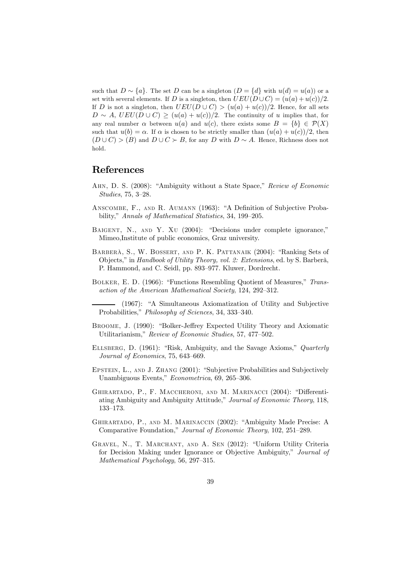such that  $D \sim \{a\}$ . The set D can be a singleton  $(D = \{d\}$  with  $u(d) = u(a)$  or a set with several elements. If D is a singleton, then  $UEU(D\cup C)=(u(a)+u(c))/2$ . If D is not a singleton, then  $UEU(D\cup C) > (u(a) + u(c))/2$ . Hence, for all sets  $D \sim A$ ,  $UEU(D \cup C) \geq (u(a) + u(c))/2$ . The continuity of u implies that, for any real number  $\alpha$  between  $u(a)$  and  $u(c)$ , there exists some  $B = \{b\} \in \mathcal{P}(X)$ such that  $u(b) = \alpha$ . If  $\alpha$  is chosen to be strictly smaller than  $(u(a) + u(c))/2$ , then  $(D\cup C) > (B)$  and  $D\cup C \succ B$ , for any  $D$  with  $D \sim A$ . Hence, Richness does not hold.

## References

- AHN, D. S. (2008): "Ambiguity without a State Space," Review of Economic Studies, 75, 3—28.
- Anscombe, F., and R. Aumann (1963): "A Definition of Subjective Probability," Annals of Mathematical Statistics, 34, 199—205.
- BAIGENT, N., AND Y. XU (2004): "Decisions under complete ignorance," Mimeo,Institute of public economics, Graz university.
- Barberà, S., W. Bossert, and P. K. Pattanaik (2004): "Ranking Sets of Objects," in Handbook of Utility Theory, vol. 2: Extensions, ed. by S. Barberà, P. Hammond, and C. Seidl, pp. 893—977. Kluwer, Dordrecht.
- Bolker, E. D. (1966): "Functions Resembling Quotient of Measures," Transaction of the American Mathematical Society, 124, 292—312.

(1967): "A Simultaneous Axiomatization of Utility and Subjective Probabilities," Philosophy of Sciences, 34, 333—340.

- Broome, J. (1990): "Bolker-Jeffrey Expected Utility Theory and Axiomatic Utilitarianism," Review of Economic Studies, 57, 477—502.
- Ellsberg, D. (1961): "Risk, Ambiguity, and the Savage Axioms," Quarterly Journal of Economics, 75, 643—669.
- Epstein, L., and J. Zhang (2001): "Subjective Probabilities and Subjectively Unambiguous Events," Econometrica, 69, 265—306.
- Ghirartado, P., F. Maccheroni, and M. Marinacci (2004): "Differentiating Ambiguity and Ambiguity Attitude," Journal of Economic Theory, 118, 133—173.
- Ghirartado, P., and M. Marinaccin (2002): "Ambiguity Made Precise: A Comparative Foundation," Journal of Economic Theory, 102, 251—289.
- Gravel, N., T. Marchant, and A. Sen (2012): "Uniform Utility Criteria for Decision Making under Ignorance or Objective Ambiguity," Journal of Mathematical Psychology, 56, 297—315.